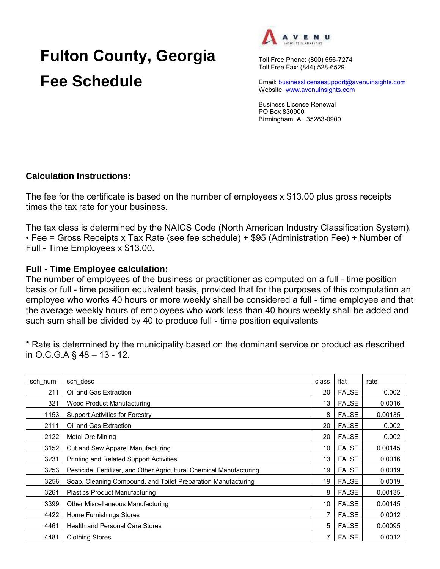## **Fulton County, Georgia Fee Schedule**



Toll Free Phone: (800) 556-7274 Toll Free Fax: (844) 528-6529

Email: businesslicensesupport@avenuinsights.com Website: www.avenuinsights.com

Business License Renewal PO Box 830900 Birmingham, AL 35283-0900

## **Calculation Instructions:**

The fee for the certificate is based on the number of employees x \$13.00 plus gross receipts times the tax rate for your business.

The tax class is determined by the NAICS Code (North American Industry Classification System). • Fee = Gross Receipts x Tax Rate (see fee schedule) + \$95 (Administration Fee) + Number of Full - Time Employees x \$13.00.

## **Full - Time Employee calculation:**

The number of employees of the business or practitioner as computed on a full - time position basis or full - time position equivalent basis, provided that for the purposes of this computation an employee who works 40 hours or more weekly shall be considered a full - time employee and that the average weekly hours of employees who work less than 40 hours weekly shall be added and such sum shall be divided by 40 to produce full - time position equivalents

\* Rate is determined by the municipality based on the dominant service or product as described in O.C.G.A § 48 – 13 - 12.

| sch num | sch desc                                                             | class | flat         | rate    |
|---------|----------------------------------------------------------------------|-------|--------------|---------|
| 211     | Oil and Gas Extraction                                               | 20    | <b>FALSE</b> | 0.002   |
| 321     | Wood Product Manufacturing                                           | 13    | <b>FALSE</b> | 0.0016  |
| 1153    | <b>Support Activities for Forestry</b>                               | 8     | <b>FALSE</b> | 0.00135 |
| 2111    | Oil and Gas Extraction                                               | 20    | <b>FALSE</b> | 0.002   |
| 2122    | Metal Ore Mining                                                     | 20    | <b>FALSE</b> | 0.002   |
| 3152    | Cut and Sew Apparel Manufacturing                                    | 10    | <b>FALSE</b> | 0.00145 |
| 3231    | <b>Printing and Related Support Activities</b>                       | 13    | <b>FALSE</b> | 0.0016  |
| 3253    | Pesticide, Fertilizer, and Other Agricultural Chemical Manufacturing | 19    | <b>FALSE</b> | 0.0019  |
| 3256    | Soap, Cleaning Compound, and Toilet Preparation Manufacturing        | 19    | <b>FALSE</b> | 0.0019  |
| 3261    | <b>Plastics Product Manufacturing</b>                                | 8     | <b>FALSE</b> | 0.00135 |
| 3399    | Other Miscellaneous Manufacturing                                    | 10    | <b>FALSE</b> | 0.00145 |
| 4422    | <b>Home Furnishings Stores</b>                                       | 7     | <b>FALSE</b> | 0.0012  |
| 4461    | <b>Health and Personal Care Stores</b>                               | 5     | <b>FALSE</b> | 0.00095 |
| 4481    | <b>Clothing Stores</b>                                               | 7     | <b>FALSE</b> | 0.0012  |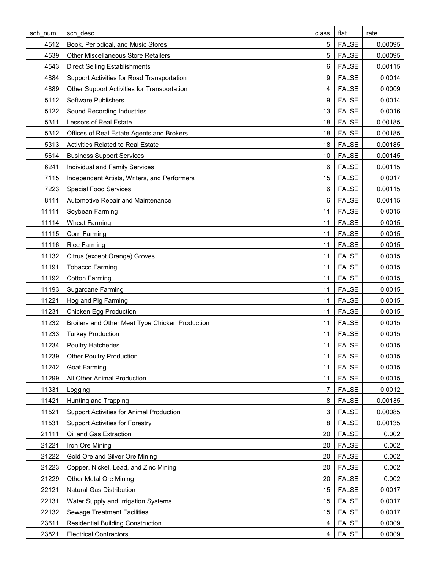| sch num | sch desc                                        | class | flat         | rate    |
|---------|-------------------------------------------------|-------|--------------|---------|
| 4512    | Book, Periodical, and Music Stores              | 5     | <b>FALSE</b> | 0.00095 |
| 4539    | <b>Other Miscellaneous Store Retailers</b>      | 5     | <b>FALSE</b> | 0.00095 |
| 4543    | <b>Direct Selling Establishments</b>            | 6     | <b>FALSE</b> | 0.00115 |
| 4884    | Support Activities for Road Transportation      | 9     | <b>FALSE</b> | 0.0014  |
| 4889    | Other Support Activities for Transportation     | 4     | <b>FALSE</b> | 0.0009  |
| 5112    | Software Publishers                             | 9     | <b>FALSE</b> | 0.0014  |
| 5122    | Sound Recording Industries                      | 13    | <b>FALSE</b> | 0.0016  |
| 5311    | Lessors of Real Estate                          | 18    | <b>FALSE</b> | 0.00185 |
| 5312    | Offices of Real Estate Agents and Brokers       | 18    | <b>FALSE</b> | 0.00185 |
| 5313    | Activities Related to Real Estate               | 18    | <b>FALSE</b> | 0.00185 |
| 5614    | <b>Business Support Services</b>                | 10    | <b>FALSE</b> | 0.00145 |
| 6241    | Individual and Family Services                  | 6     | <b>FALSE</b> | 0.00115 |
| 7115    | Independent Artists, Writers, and Performers    | 15    | <b>FALSE</b> | 0.0017  |
| 7223    | <b>Special Food Services</b>                    | 6     | <b>FALSE</b> | 0.00115 |
| 8111    | Automotive Repair and Maintenance               | 6     | <b>FALSE</b> | 0.00115 |
| 11111   | Soybean Farming                                 | 11    | <b>FALSE</b> | 0.0015  |
| 11114   | <b>Wheat Farming</b>                            | 11    | <b>FALSE</b> | 0.0015  |
| 11115   | Corn Farming                                    | 11    | <b>FALSE</b> | 0.0015  |
| 11116   | <b>Rice Farming</b>                             | 11    | <b>FALSE</b> | 0.0015  |
| 11132   | Citrus (except Orange) Groves                   | 11    | <b>FALSE</b> | 0.0015  |
| 11191   | <b>Tobacco Farming</b>                          | 11    | <b>FALSE</b> | 0.0015  |
| 11192   | <b>Cotton Farming</b>                           | 11    | <b>FALSE</b> | 0.0015  |
| 11193   | <b>Sugarcane Farming</b>                        | 11    | <b>FALSE</b> | 0.0015  |
| 11221   | Hog and Pig Farming                             | 11    | <b>FALSE</b> | 0.0015  |
| 11231   | <b>Chicken Egg Production</b>                   | 11    | <b>FALSE</b> | 0.0015  |
| 11232   | Broilers and Other Meat Type Chicken Production | 11    | <b>FALSE</b> | 0.0015  |
| 11233   | <b>Turkey Production</b>                        | 11    | <b>FALSE</b> | 0.0015  |
| 11234   | <b>Poultry Hatcheries</b>                       | 11    | <b>FALSE</b> | 0.0015  |
| 11239   | <b>Other Poultry Production</b>                 | 11    | <b>FALSE</b> | 0.0015  |
| 11242   | <b>Goat Farming</b>                             | 11    | <b>FALSE</b> | 0.0015  |
| 11299   | All Other Animal Production                     | 11    | <b>FALSE</b> | 0.0015  |
| 11331   | Logging                                         | 7     | <b>FALSE</b> | 0.0012  |
| 11421   | Hunting and Trapping                            | 8     | <b>FALSE</b> | 0.00135 |
| 11521   | <b>Support Activities for Animal Production</b> | 3     | <b>FALSE</b> | 0.00085 |
| 11531   | <b>Support Activities for Forestry</b>          | 8     | <b>FALSE</b> | 0.00135 |
| 21111   | Oil and Gas Extraction                          | 20    | <b>FALSE</b> | 0.002   |
| 21221   | Iron Ore Mining                                 | 20    | <b>FALSE</b> | 0.002   |
| 21222   | Gold Ore and Silver Ore Mining                  | 20    | <b>FALSE</b> | 0.002   |
| 21223   | Copper, Nickel, Lead, and Zinc Mining           | 20    | <b>FALSE</b> | 0.002   |
| 21229   | <b>Other Metal Ore Mining</b>                   | 20    | <b>FALSE</b> | 0.002   |
| 22121   | Natural Gas Distribution                        | 15    | <b>FALSE</b> | 0.0017  |
| 22131   | Water Supply and Irrigation Systems             | 15    | <b>FALSE</b> | 0.0017  |
| 22132   | <b>Sewage Treatment Facilities</b>              | 15    | <b>FALSE</b> | 0.0017  |
| 23611   | <b>Residential Building Construction</b>        | 4     | <b>FALSE</b> | 0.0009  |
| 23821   | <b>Electrical Contractors</b>                   | 4     | <b>FALSE</b> | 0.0009  |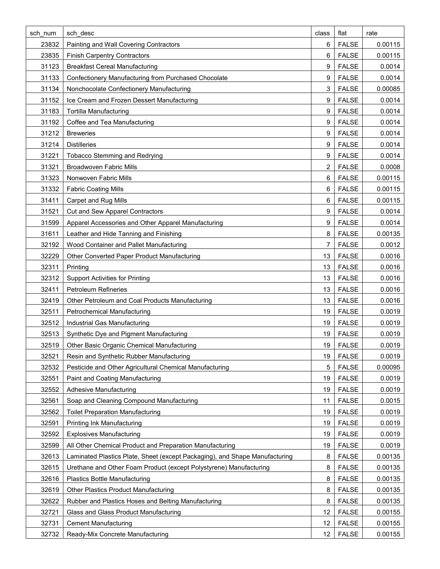| sch num | sch desc                                                                    | class | flat         | rate    |
|---------|-----------------------------------------------------------------------------|-------|--------------|---------|
| 23832   | Painting and Wall Covering Contractors                                      | 6     | <b>FALSE</b> | 0.00115 |
| 23835   | <b>Finish Carpentry Contractors</b>                                         | 6     | <b>FALSE</b> | 0.00115 |
| 31123   | <b>Breakfast Cereal Manufacturing</b>                                       | 9     | <b>FALSE</b> | 0.0014  |
| 31133   | Confectionery Manufacturing from Purchased Chocolate                        | 9     | <b>FALSE</b> | 0.0014  |
| 31134   | Nonchocolate Confectionery Manufacturing                                    | 3     | <b>FALSE</b> | 0.00085 |
| 31152   | Ice Cream and Frozen Dessert Manufacturing                                  | 9     | <b>FALSE</b> | 0.0014  |
| 31183   | <b>Tortilla Manufacturing</b>                                               | 9     | <b>FALSE</b> | 0.0014  |
| 31192   | Coffee and Tea Manufacturing                                                | 9     | <b>FALSE</b> | 0.0014  |
| 31212   | <b>Breweries</b>                                                            | 9     | <b>FALSE</b> | 0.0014  |
| 31214   | <b>Distilleries</b>                                                         | 9     | <b>FALSE</b> | 0.0014  |
| 31221   | <b>Tobacco Stemming and Redrying</b>                                        | 9     | <b>FALSE</b> | 0.0014  |
| 31321   | <b>Broadwoven Fabric Mills</b>                                              | 2     | <b>FALSE</b> | 0.0008  |
| 31323   | Nonwoven Fabric Mills                                                       | 6     | <b>FALSE</b> | 0.00115 |
| 31332   | <b>Fabric Coating Mills</b>                                                 | 6     | <b>FALSE</b> | 0.00115 |
| 31411   | <b>Carpet and Rug Mills</b>                                                 | 6     | <b>FALSE</b> | 0.00115 |
| 31521   | <b>Cut and Sew Apparel Contractors</b>                                      | 9     | <b>FALSE</b> | 0.0014  |
| 31599   | Apparel Accessories and Other Apparel Manufacturing                         | 9     | <b>FALSE</b> | 0.0014  |
| 31611   | Leather and Hide Tanning and Finishing                                      | 8     | <b>FALSE</b> | 0.00135 |
| 32192   | Wood Container and Pallet Manufacturing                                     | 7     | <b>FALSE</b> | 0.0012  |
| 32229   | Other Converted Paper Product Manufacturing                                 | 13    | <b>FALSE</b> | 0.0016  |
| 32311   | Printing                                                                    | 13    | <b>FALSE</b> | 0.0016  |
| 32312   | <b>Support Activities for Printing</b>                                      | 13    | <b>FALSE</b> | 0.0016  |
| 32411   | <b>Petroleum Refineries</b>                                                 | 13    | <b>FALSE</b> | 0.0016  |
| 32419   | Other Petroleum and Coal Products Manufacturing                             | 13    | <b>FALSE</b> | 0.0016  |
| 32511   | <b>Petrochemical Manufacturing</b>                                          | 19    | <b>FALSE</b> | 0.0019  |
| 32512   | Industrial Gas Manufacturing                                                | 19    | <b>FALSE</b> | 0.0019  |
| 32513   | Synthetic Dye and Pigment Manufacturing                                     | 19    | <b>FALSE</b> | 0.0019  |
| 32519   | Other Basic Organic Chemical Manufacturing                                  | 19    | <b>FALSE</b> | 0.0019  |
| 32521   | Resin and Synthetic Rubber Manufacturing                                    | 19    | <b>FALSE</b> | 0.0019  |
| 32532   | Pesticide and Other Agricultural Chemical Manufacturing                     | 5     | <b>FALSE</b> | 0.00095 |
| 32551   | Paint and Coating Manufacturing                                             | 19    | <b>FALSE</b> | 0.0019  |
| 32552   | <b>Adhesive Manufacturing</b>                                               | 19    | <b>FALSE</b> | 0.0019  |
| 32561   | Soap and Cleaning Compound Manufacturing                                    | 11    | <b>FALSE</b> | 0.0015  |
| 32562   | <b>Toilet Preparation Manufacturing</b>                                     | 19    | <b>FALSE</b> | 0.0019  |
| 32591   | <b>Printing Ink Manufacturing</b>                                           | 19    | <b>FALSE</b> | 0.0019  |
| 32592   | <b>Explosives Manufacturing</b>                                             | 19    | <b>FALSE</b> | 0.0019  |
| 32599   | All Other Chemical Product and Preparation Manufacturing                    | 19    | <b>FALSE</b> | 0.0019  |
| 32613   | Laminated Plastics Plate, Sheet (except Packaging), and Shape Manufacturing | 8     | <b>FALSE</b> | 0.00135 |
| 32615   | Urethane and Other Foam Product (except Polystyrene) Manufacturing          | 8     | <b>FALSE</b> | 0.00135 |
| 32616   | <b>Plastics Bottle Manufacturing</b>                                        | 8     | <b>FALSE</b> | 0.00135 |
| 32619   | <b>Other Plastics Product Manufacturing</b>                                 | 8     | <b>FALSE</b> | 0.00135 |
| 32622   | Rubber and Plastics Hoses and Belting Manufacturing                         | 8     | <b>FALSE</b> | 0.00135 |
| 32721   | Glass and Glass Product Manufacturing                                       | 12    | <b>FALSE</b> | 0.00155 |
| 32731   | <b>Cement Manufacturing</b>                                                 | 12    | <b>FALSE</b> | 0.00155 |
| 32732   | Ready-Mix Concrete Manufacturing                                            | 12    | <b>FALSE</b> | 0.00155 |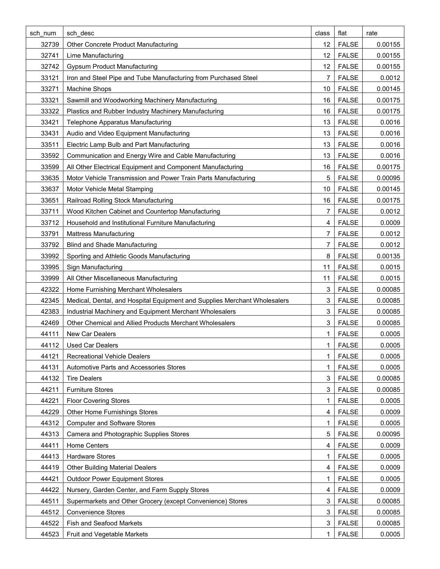| sch num | sch desc                                                                  | class          | flat         | rate    |
|---------|---------------------------------------------------------------------------|----------------|--------------|---------|
| 32739   | Other Concrete Product Manufacturing                                      | 12             | <b>FALSE</b> | 0.00155 |
| 32741   | Lime Manufacturing                                                        | 12             | <b>FALSE</b> | 0.00155 |
| 32742   | <b>Gypsum Product Manufacturing</b>                                       | 12             | <b>FALSE</b> | 0.00155 |
| 33121   | Iron and Steel Pipe and Tube Manufacturing from Purchased Steel           | 7              | <b>FALSE</b> | 0.0012  |
| 33271   | Machine Shops                                                             | 10             | <b>FALSE</b> | 0.00145 |
| 33321   | Sawmill and Woodworking Machinery Manufacturing                           | 16             | <b>FALSE</b> | 0.00175 |
| 33322   | Plastics and Rubber Industry Machinery Manufacturing                      | 16             | <b>FALSE</b> | 0.00175 |
| 33421   | <b>Telephone Apparatus Manufacturing</b>                                  | 13             | <b>FALSE</b> | 0.0016  |
| 33431   | Audio and Video Equipment Manufacturing                                   | 13             | <b>FALSE</b> | 0.0016  |
| 33511   | Electric Lamp Bulb and Part Manufacturing                                 | 13             | <b>FALSE</b> | 0.0016  |
| 33592   | Communication and Energy Wire and Cable Manufacturing                     | 13             | <b>FALSE</b> | 0.0016  |
| 33599   | All Other Electrical Equipment and Component Manufacturing                | 16             | <b>FALSE</b> | 0.00175 |
| 33635   | Motor Vehicle Transmission and Power Train Parts Manufacturing            | 5              | <b>FALSE</b> | 0.00095 |
| 33637   | Motor Vehicle Metal Stamping                                              | 10             | <b>FALSE</b> | 0.00145 |
| 33651   | Railroad Rolling Stock Manufacturing                                      | 16             | <b>FALSE</b> | 0.00175 |
| 33711   | Wood Kitchen Cabinet and Countertop Manufacturing                         | 7              | <b>FALSE</b> | 0.0012  |
| 33712   | Household and Institutional Furniture Manufacturing                       | 4              | <b>FALSE</b> | 0.0009  |
| 33791   | <b>Mattress Manufacturing</b>                                             | 7              | <b>FALSE</b> | 0.0012  |
| 33792   | <b>Blind and Shade Manufacturing</b>                                      | 7              | <b>FALSE</b> | 0.0012  |
| 33992   | Sporting and Athletic Goods Manufacturing                                 | 8              | <b>FALSE</b> | 0.00135 |
| 33995   | Sign Manufacturing                                                        | 11             | <b>FALSE</b> | 0.0015  |
| 33999   | All Other Miscellaneous Manufacturing                                     | 11             | <b>FALSE</b> | 0.0015  |
| 42322   | Home Furnishing Merchant Wholesalers                                      | 3              | <b>FALSE</b> | 0.00085 |
| 42345   | Medical, Dental, and Hospital Equipment and Supplies Merchant Wholesalers | 3              | <b>FALSE</b> | 0.00085 |
| 42383   | Industrial Machinery and Equipment Merchant Wholesalers                   | 3              | <b>FALSE</b> | 0.00085 |
| 42469   | Other Chemical and Allied Products Merchant Wholesalers                   | 3              | <b>FALSE</b> | 0.00085 |
| 44111   | New Car Dealers                                                           | 1              | <b>FALSE</b> | 0.0005  |
| 44112   | <b>Used Car Dealers</b>                                                   | 1 <sup>1</sup> | <b>FALSE</b> | 0.0005  |
| 44121   | <b>Recreational Vehicle Dealers</b>                                       | 1              | <b>FALSE</b> | 0.0005  |
| 44131   | Automotive Parts and Accessories Stores                                   | 1              | <b>FALSE</b> | 0.0005  |
| 44132   | <b>Tire Dealers</b>                                                       | 3              | <b>FALSE</b> | 0.00085 |
| 44211   | <b>Furniture Stores</b>                                                   | 3              | <b>FALSE</b> | 0.00085 |
| 44221   | <b>Floor Covering Stores</b>                                              | 1              | <b>FALSE</b> | 0.0005  |
| 44229   | Other Home Furnishings Stores                                             | 4              | <b>FALSE</b> | 0.0009  |
| 44312   | <b>Computer and Software Stores</b>                                       | 1              | <b>FALSE</b> | 0.0005  |
| 44313   | Camera and Photographic Supplies Stores                                   | 5              | <b>FALSE</b> | 0.00095 |
| 44411   | Home Centers                                                              | 4              | <b>FALSE</b> | 0.0009  |
| 44413   | <b>Hardware Stores</b>                                                    | 1              | <b>FALSE</b> | 0.0005  |
| 44419   | <b>Other Building Material Dealers</b>                                    | 4              | <b>FALSE</b> | 0.0009  |
| 44421   | <b>Outdoor Power Equipment Stores</b>                                     | 1              | <b>FALSE</b> | 0.0005  |
| 44422   | Nursery, Garden Center, and Farm Supply Stores                            | 4              | <b>FALSE</b> | 0.0009  |
| 44511   | Supermarkets and Other Grocery (except Convenience) Stores                | 3              | <b>FALSE</b> | 0.00085 |
| 44512   | <b>Convenience Stores</b>                                                 | 3              | <b>FALSE</b> | 0.00085 |
| 44522   | <b>Fish and Seafood Markets</b>                                           | 3              | <b>FALSE</b> | 0.00085 |
| 44523   | Fruit and Vegetable Markets                                               | 1              | <b>FALSE</b> | 0.0005  |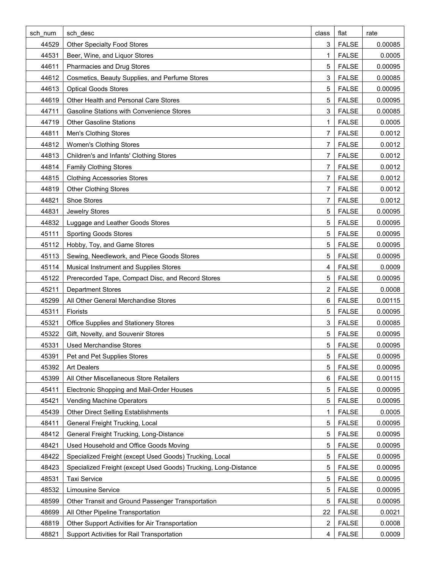| sch num | sch desc                                                        | class | flat         | rate    |
|---------|-----------------------------------------------------------------|-------|--------------|---------|
| 44529   | <b>Other Specialty Food Stores</b>                              | 3     | <b>FALSE</b> | 0.00085 |
| 44531   | Beer, Wine, and Liquor Stores                                   | 1     | <b>FALSE</b> | 0.0005  |
| 44611   | Pharmacies and Drug Stores                                      | 5     | <b>FALSE</b> | 0.00095 |
| 44612   | Cosmetics, Beauty Supplies, and Perfume Stores                  | 3     | <b>FALSE</b> | 0.00085 |
| 44613   | <b>Optical Goods Stores</b>                                     | 5     | <b>FALSE</b> | 0.00095 |
| 44619   | Other Health and Personal Care Stores                           | 5     | <b>FALSE</b> | 0.00095 |
| 44711   | <b>Gasoline Stations with Convenience Stores</b>                | 3     | <b>FALSE</b> | 0.00085 |
| 44719   | <b>Other Gasoline Stations</b>                                  | 1     | <b>FALSE</b> | 0.0005  |
| 44811   | Men's Clothing Stores                                           | 7     | <b>FALSE</b> | 0.0012  |
| 44812   | <b>Women's Clothing Stores</b>                                  | 7     | <b>FALSE</b> | 0.0012  |
| 44813   | Children's and Infants' Clothing Stores                         | 7     | <b>FALSE</b> | 0.0012  |
| 44814   | <b>Family Clothing Stores</b>                                   | 7     | <b>FALSE</b> | 0.0012  |
| 44815   | <b>Clothing Accessories Stores</b>                              | 7     | <b>FALSE</b> | 0.0012  |
| 44819   | <b>Other Clothing Stores</b>                                    | 7     | <b>FALSE</b> | 0.0012  |
| 44821   | Shoe Stores                                                     | 7     | <b>FALSE</b> | 0.0012  |
| 44831   | Jewelry Stores                                                  | 5     | <b>FALSE</b> | 0.00095 |
| 44832   | Luggage and Leather Goods Stores                                | 5     | <b>FALSE</b> | 0.00095 |
| 45111   | <b>Sporting Goods Stores</b>                                    | 5     | <b>FALSE</b> | 0.00095 |
| 45112   | Hobby, Toy, and Game Stores                                     | 5     | <b>FALSE</b> | 0.00095 |
| 45113   | Sewing, Needlework, and Piece Goods Stores                      | 5     | <b>FALSE</b> | 0.00095 |
| 45114   | Musical Instrument and Supplies Stores                          | 4     | <b>FALSE</b> | 0.0009  |
| 45122   | Prerecorded Tape, Compact Disc, and Record Stores               | 5     | <b>FALSE</b> | 0.00095 |
| 45211   | <b>Department Stores</b>                                        | 2     | <b>FALSE</b> | 0.0008  |
| 45299   | All Other General Merchandise Stores                            | 6     | <b>FALSE</b> | 0.00115 |
| 45311   | Florists                                                        | 5     | <b>FALSE</b> | 0.00095 |
| 45321   | Office Supplies and Stationery Stores                           | 3     | <b>FALSE</b> | 0.00085 |
| 45322   | Gift, Novelty, and Souvenir Stores                              | 5     | <b>FALSE</b> | 0.00095 |
| 45331   | <b>Used Merchandise Stores</b>                                  | 5     | <b>FALSE</b> | 0.00095 |
| 45391   | Pet and Pet Supplies Stores                                     | 5     | <b>FALSE</b> | 0.00095 |
| 45392   | <b>Art Dealers</b>                                              | 5     | <b>FALSE</b> | 0.00095 |
| 45399   | All Other Miscellaneous Store Retailers                         | 6     | <b>FALSE</b> | 0.00115 |
| 45411   | Electronic Shopping and Mail-Order Houses                       | 5     | <b>FALSE</b> | 0.00095 |
| 45421   | <b>Vending Machine Operators</b>                                | 5     | <b>FALSE</b> | 0.00095 |
| 45439   | Other Direct Selling Establishments                             | 1     | <b>FALSE</b> | 0.0005  |
| 48411   | General Freight Trucking, Local                                 | 5     | <b>FALSE</b> | 0.00095 |
| 48412   | General Freight Trucking, Long-Distance                         | 5     | <b>FALSE</b> | 0.00095 |
| 48421   | Used Household and Office Goods Moving                          | 5     | <b>FALSE</b> | 0.00095 |
| 48422   | Specialized Freight (except Used Goods) Trucking, Local         | 5     | <b>FALSE</b> | 0.00095 |
| 48423   | Specialized Freight (except Used Goods) Trucking, Long-Distance | 5     | <b>FALSE</b> | 0.00095 |
| 48531   | <b>Taxi Service</b>                                             | 5     | <b>FALSE</b> | 0.00095 |
| 48532   | Limousine Service                                               | 5     | <b>FALSE</b> | 0.00095 |
| 48599   | Other Transit and Ground Passenger Transportation               | 5     | <b>FALSE</b> | 0.00095 |
| 48699   | All Other Pipeline Transportation                               | 22    | <b>FALSE</b> | 0.0021  |
| 48819   | Other Support Activities for Air Transportation                 | 2     | <b>FALSE</b> | 0.0008  |
| 48821   | Support Activities for Rail Transportation                      | 4     | <b>FALSE</b> | 0.0009  |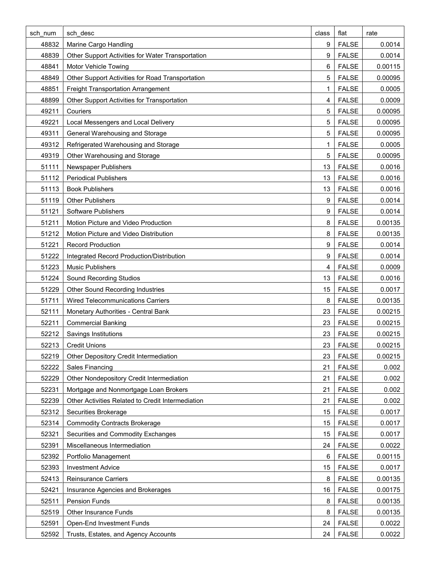| sch num | sch desc                                          | class | flat         | rate    |
|---------|---------------------------------------------------|-------|--------------|---------|
| 48832   | Marine Cargo Handling                             | 9     | <b>FALSE</b> | 0.0014  |
| 48839   | Other Support Activities for Water Transportation | 9     | <b>FALSE</b> | 0.0014  |
| 48841   | Motor Vehicle Towing                              | 6     | <b>FALSE</b> | 0.00115 |
| 48849   | Other Support Activities for Road Transportation  | 5     | <b>FALSE</b> | 0.00095 |
| 48851   | Freight Transportation Arrangement                | 1     | <b>FALSE</b> | 0.0005  |
| 48899   | Other Support Activities for Transportation       | 4     | <b>FALSE</b> | 0.0009  |
| 49211   | Couriers                                          | 5     | <b>FALSE</b> | 0.00095 |
| 49221   | Local Messengers and Local Delivery               | 5     | <b>FALSE</b> | 0.00095 |
| 49311   | General Warehousing and Storage                   | 5     | <b>FALSE</b> | 0.00095 |
| 49312   | Refrigerated Warehousing and Storage              | 1     | <b>FALSE</b> | 0.0005  |
| 49319   | Other Warehousing and Storage                     | 5     | <b>FALSE</b> | 0.00095 |
| 51111   | Newspaper Publishers                              | 13    | <b>FALSE</b> | 0.0016  |
| 51112   | <b>Periodical Publishers</b>                      | 13    | <b>FALSE</b> | 0.0016  |
| 51113   | <b>Book Publishers</b>                            | 13    | <b>FALSE</b> | 0.0016  |
| 51119   | <b>Other Publishers</b>                           | 9     | <b>FALSE</b> | 0.0014  |
| 51121   | Software Publishers                               | 9     | <b>FALSE</b> | 0.0014  |
| 51211   | Motion Picture and Video Production               | 8     | <b>FALSE</b> | 0.00135 |
| 51212   | Motion Picture and Video Distribution             | 8     | <b>FALSE</b> | 0.00135 |
| 51221   | <b>Record Production</b>                          | 9     | <b>FALSE</b> | 0.0014  |
| 51222   | Integrated Record Production/Distribution         | 9     | <b>FALSE</b> | 0.0014  |
| 51223   | <b>Music Publishers</b>                           | 4     | <b>FALSE</b> | 0.0009  |
| 51224   | Sound Recording Studios                           | 13    | <b>FALSE</b> | 0.0016  |
| 51229   | Other Sound Recording Industries                  | 15    | <b>FALSE</b> | 0.0017  |
| 51711   | <b>Wired Telecommunications Carriers</b>          | 8     | <b>FALSE</b> | 0.00135 |
| 52111   | Monetary Authorities - Central Bank               | 23    | <b>FALSE</b> | 0.00215 |
| 52211   | <b>Commercial Banking</b>                         | 23    | <b>FALSE</b> | 0.00215 |
| 52212   | Savings Institutions                              | 23    | <b>FALSE</b> | 0.00215 |
| 52213   | <b>Credit Unions</b>                              | 23    | <b>FALSE</b> | 0.00215 |
| 52219   | Other Depository Credit Intermediation            | 23    | <b>FALSE</b> | 0.00215 |
| 52222   | Sales Financing                                   | 21    | <b>FALSE</b> | 0.002   |
| 52229   | Other Nondepository Credit Intermediation         | 21    | <b>FALSE</b> | 0.002   |
| 52231   | Mortgage and Nonmortgage Loan Brokers             | 21    | <b>FALSE</b> | 0.002   |
| 52239   | Other Activities Related to Credit Intermediation | 21    | <b>FALSE</b> | 0.002   |
| 52312   | Securities Brokerage                              | 15    | <b>FALSE</b> | 0.0017  |
| 52314   | <b>Commodity Contracts Brokerage</b>              | 15    | <b>FALSE</b> | 0.0017  |
| 52321   | Securities and Commodity Exchanges                | 15    | <b>FALSE</b> | 0.0017  |
| 52391   | Miscellaneous Intermediation                      | 24    | <b>FALSE</b> | 0.0022  |
| 52392   | Portfolio Management                              | 6     | <b>FALSE</b> | 0.00115 |
| 52393   | <b>Investment Advice</b>                          | 15    | <b>FALSE</b> | 0.0017  |
| 52413   | <b>Reinsurance Carriers</b>                       | 8     | <b>FALSE</b> | 0.00135 |
| 52421   | Insurance Agencies and Brokerages                 | 16    | <b>FALSE</b> | 0.00175 |
| 52511   | Pension Funds                                     | 8     | <b>FALSE</b> | 0.00135 |
| 52519   | <b>Other Insurance Funds</b>                      | 8     | <b>FALSE</b> | 0.00135 |
| 52591   | Open-End Investment Funds                         | 24    | <b>FALSE</b> | 0.0022  |
| 52592   | Trusts, Estates, and Agency Accounts              | 24    | <b>FALSE</b> | 0.0022  |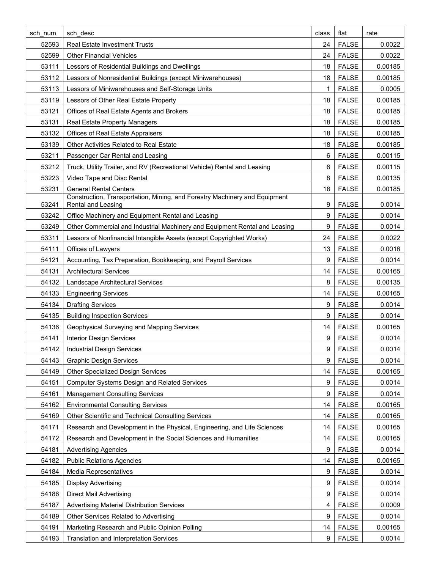| sch num | sch desc                                                                                                | class | flat         | rate    |
|---------|---------------------------------------------------------------------------------------------------------|-------|--------------|---------|
| 52593   | <b>Real Estate Investment Trusts</b>                                                                    | 24    | <b>FALSE</b> | 0.0022  |
| 52599   | <b>Other Financial Vehicles</b>                                                                         | 24    | <b>FALSE</b> | 0.0022  |
| 53111   | Lessors of Residential Buildings and Dwellings                                                          | 18    | <b>FALSE</b> | 0.00185 |
| 53112   | Lessors of Nonresidential Buildings (except Miniwarehouses)                                             | 18    | <b>FALSE</b> | 0.00185 |
| 53113   | Lessors of Miniwarehouses and Self-Storage Units                                                        | 1     | <b>FALSE</b> | 0.0005  |
| 53119   | Lessors of Other Real Estate Property                                                                   | 18    | <b>FALSE</b> | 0.00185 |
| 53121   | Offices of Real Estate Agents and Brokers                                                               | 18    | <b>FALSE</b> | 0.00185 |
| 53131   | <b>Real Estate Property Managers</b>                                                                    | 18    | <b>FALSE</b> | 0.00185 |
| 53132   | Offices of Real Estate Appraisers                                                                       | 18    | <b>FALSE</b> | 0.00185 |
| 53139   | Other Activities Related to Real Estate                                                                 | 18    | <b>FALSE</b> | 0.00185 |
| 53211   | Passenger Car Rental and Leasing                                                                        | 6     | <b>FALSE</b> | 0.00115 |
| 53212   | Truck, Utility Trailer, and RV (Recreational Vehicle) Rental and Leasing                                | 6     | <b>FALSE</b> | 0.00115 |
| 53223   | Video Tape and Disc Rental                                                                              | 8     | <b>FALSE</b> | 0.00135 |
| 53231   | <b>General Rental Centers</b>                                                                           | 18    | <b>FALSE</b> | 0.00185 |
| 53241   | Construction, Transportation, Mining, and Forestry Machinery and Equipment<br><b>Rental and Leasing</b> | 9     | <b>FALSE</b> | 0.0014  |
| 53242   | Office Machinery and Equipment Rental and Leasing                                                       | 9     | <b>FALSE</b> | 0.0014  |
| 53249   | Other Commercial and Industrial Machinery and Equipment Rental and Leasing                              | 9     | <b>FALSE</b> | 0.0014  |
| 53311   | Lessors of Nonfinancial Intangible Assets (except Copyrighted Works)                                    | 24    | <b>FALSE</b> | 0.0022  |
| 54111   | Offices of Lawyers                                                                                      | 13    | <b>FALSE</b> | 0.0016  |
| 54121   | Accounting, Tax Preparation, Bookkeeping, and Payroll Services                                          | 9     | <b>FALSE</b> | 0.0014  |
| 54131   | <b>Architectural Services</b>                                                                           | 14    | <b>FALSE</b> | 0.00165 |
| 54132   | Landscape Architectural Services                                                                        | 8     | <b>FALSE</b> | 0.00135 |
| 54133   | <b>Engineering Services</b>                                                                             | 14    | <b>FALSE</b> | 0.00165 |
| 54134   | <b>Drafting Services</b>                                                                                | 9     | <b>FALSE</b> | 0.0014  |
| 54135   | <b>Building Inspection Services</b>                                                                     | 9     | <b>FALSE</b> | 0.0014  |
| 54136   | Geophysical Surveying and Mapping Services                                                              | 14    | <b>FALSE</b> | 0.00165 |
| 54141   | <b>Interior Design Services</b>                                                                         | 9     | <b>FALSE</b> | 0.0014  |
| 54142   | <b>Industrial Design Services</b>                                                                       | 9     | <b>FALSE</b> | 0.0014  |
| 54143   | <b>Graphic Design Services</b>                                                                          | 9     | <b>FALSE</b> | 0.0014  |
| 54149   | <b>Other Specialized Design Services</b>                                                                | 14    | <b>FALSE</b> | 0.00165 |
| 54151   | <b>Computer Systems Design and Related Services</b>                                                     | 9     | <b>FALSE</b> | 0.0014  |
| 54161   | <b>Management Consulting Services</b>                                                                   | 9     | <b>FALSE</b> | 0.0014  |
| 54162   | <b>Environmental Consulting Services</b>                                                                | 14    | <b>FALSE</b> | 0.00165 |
| 54169   | Other Scientific and Technical Consulting Services                                                      | 14    | <b>FALSE</b> | 0.00165 |
| 54171   | Research and Development in the Physical, Engineering, and Life Sciences                                | 14    | <b>FALSE</b> | 0.00165 |
| 54172   | Research and Development in the Social Sciences and Humanities                                          | 14    | <b>FALSE</b> | 0.00165 |
| 54181   | <b>Advertising Agencies</b>                                                                             | 9     | <b>FALSE</b> | 0.0014  |
| 54182   | <b>Public Relations Agencies</b>                                                                        | 14    | <b>FALSE</b> | 0.00165 |
| 54184   | <b>Media Representatives</b>                                                                            | 9     | <b>FALSE</b> | 0.0014  |
| 54185   | <b>Display Advertising</b>                                                                              | 9     | <b>FALSE</b> | 0.0014  |
| 54186   | <b>Direct Mail Advertising</b>                                                                          | 9     | <b>FALSE</b> | 0.0014  |
| 54187   | Advertising Material Distribution Services                                                              | 4     | <b>FALSE</b> | 0.0009  |
| 54189   | Other Services Related to Advertising                                                                   | 9     | <b>FALSE</b> | 0.0014  |
| 54191   | Marketing Research and Public Opinion Polling                                                           | 14    | <b>FALSE</b> | 0.00165 |
| 54193   | Translation and Interpretation Services                                                                 | 9     | <b>FALSE</b> | 0.0014  |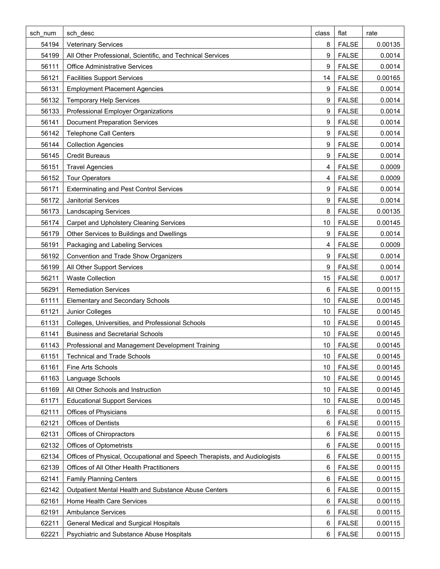| sch num | sch desc                                                                  | class | flat         | rate    |
|---------|---------------------------------------------------------------------------|-------|--------------|---------|
| 54194   | <b>Veterinary Services</b>                                                | 8     | <b>FALSE</b> | 0.00135 |
| 54199   | All Other Professional, Scientific, and Technical Services                | 9     | <b>FALSE</b> | 0.0014  |
| 56111   | <b>Office Administrative Services</b>                                     | 9     | <b>FALSE</b> | 0.0014  |
| 56121   | <b>Facilities Support Services</b>                                        | 14    | <b>FALSE</b> | 0.00165 |
| 56131   | <b>Employment Placement Agencies</b>                                      | 9     | <b>FALSE</b> | 0.0014  |
| 56132   | <b>Temporary Help Services</b>                                            | 9     | <b>FALSE</b> | 0.0014  |
| 56133   | Professional Employer Organizations                                       | 9     | <b>FALSE</b> | 0.0014  |
| 56141   | <b>Document Preparation Services</b>                                      | 9     | <b>FALSE</b> | 0.0014  |
| 56142   | <b>Telephone Call Centers</b>                                             | 9     | <b>FALSE</b> | 0.0014  |
| 56144   | <b>Collection Agencies</b>                                                | 9     | <b>FALSE</b> | 0.0014  |
| 56145   | <b>Credit Bureaus</b>                                                     | 9     | <b>FALSE</b> | 0.0014  |
| 56151   | <b>Travel Agencies</b>                                                    | 4     | <b>FALSE</b> | 0.0009  |
| 56152   | <b>Tour Operators</b>                                                     | 4     | <b>FALSE</b> | 0.0009  |
| 56171   | <b>Exterminating and Pest Control Services</b>                            | 9     | <b>FALSE</b> | 0.0014  |
| 56172   | <b>Janitorial Services</b>                                                | 9     | <b>FALSE</b> | 0.0014  |
| 56173   | <b>Landscaping Services</b>                                               | 8     | <b>FALSE</b> | 0.00135 |
| 56174   | Carpet and Upholstery Cleaning Services                                   | 10    | <b>FALSE</b> | 0.00145 |
| 56179   | Other Services to Buildings and Dwellings                                 | 9     | <b>FALSE</b> | 0.0014  |
| 56191   | Packaging and Labeling Services                                           | 4     | <b>FALSE</b> | 0.0009  |
| 56192   | Convention and Trade Show Organizers                                      | 9     | <b>FALSE</b> | 0.0014  |
| 56199   | All Other Support Services                                                | 9     | <b>FALSE</b> | 0.0014  |
| 56211   | <b>Waste Collection</b>                                                   | 15    | <b>FALSE</b> | 0.0017  |
| 56291   | <b>Remediation Services</b>                                               | 6     | <b>FALSE</b> | 0.00115 |
| 61111   | <b>Elementary and Secondary Schools</b>                                   | 10    | <b>FALSE</b> | 0.00145 |
| 61121   | Junior Colleges                                                           | 10    | <b>FALSE</b> | 0.00145 |
| 61131   | Colleges, Universities, and Professional Schools                          | 10    | <b>FALSE</b> | 0.00145 |
| 61141   | <b>Business and Secretarial Schools</b>                                   | 10    | <b>FALSE</b> | 0.00145 |
| 61143   | Professional and Management Development Training                          | 10    | <b>FALSE</b> | 0.00145 |
| 61151   | <b>Technical and Trade Schools</b>                                        | 10    | <b>FALSE</b> | 0.00145 |
| 61161   | Fine Arts Schools                                                         | 10    | <b>FALSE</b> | 0.00145 |
| 61163   | Language Schools                                                          | 10    | <b>FALSE</b> | 0.00145 |
| 61169   | All Other Schools and Instruction                                         | 10    | <b>FALSE</b> | 0.00145 |
| 61171   | <b>Educational Support Services</b>                                       | 10    | <b>FALSE</b> | 0.00145 |
| 62111   | <b>Offices of Physicians</b>                                              | 6     | <b>FALSE</b> | 0.00115 |
| 62121   | <b>Offices of Dentists</b>                                                | 6     | <b>FALSE</b> | 0.00115 |
| 62131   | Offices of Chiropractors                                                  | 6     | <b>FALSE</b> | 0.00115 |
| 62132   | <b>Offices of Optometrists</b>                                            | 6     | <b>FALSE</b> | 0.00115 |
| 62134   | Offices of Physical, Occupational and Speech Therapists, and Audiologists | 6     | <b>FALSE</b> | 0.00115 |
| 62139   | Offices of All Other Health Practitioners                                 | 6     | <b>FALSE</b> | 0.00115 |
| 62141   | <b>Family Planning Centers</b>                                            | 6     | <b>FALSE</b> | 0.00115 |
| 62142   | Outpatient Mental Health and Substance Abuse Centers                      | 6     | <b>FALSE</b> | 0.00115 |
| 62161   | Home Health Care Services                                                 | 6     | <b>FALSE</b> | 0.00115 |
| 62191   | <b>Ambulance Services</b>                                                 | 6     | <b>FALSE</b> | 0.00115 |
| 62211   | General Medical and Surgical Hospitals                                    | 6     | <b>FALSE</b> | 0.00115 |
| 62221   | Psychiatric and Substance Abuse Hospitals                                 | 6     | <b>FALSE</b> | 0.00115 |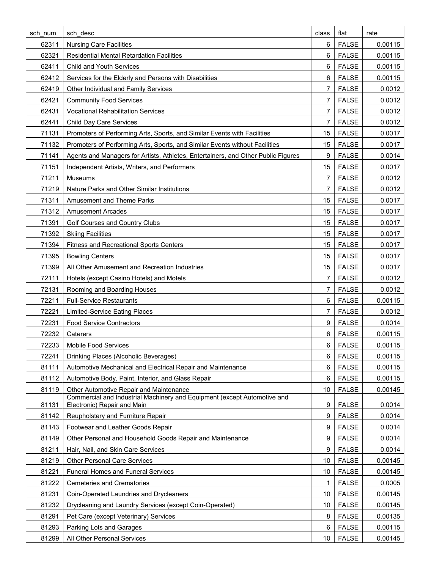| sch num | sch desc                                                                                                | class | flat         | rate    |
|---------|---------------------------------------------------------------------------------------------------------|-------|--------------|---------|
| 62311   | <b>Nursing Care Facilities</b>                                                                          | 6     | <b>FALSE</b> | 0.00115 |
| 62321   | <b>Residential Mental Retardation Facilities</b>                                                        | 6     | <b>FALSE</b> | 0.00115 |
| 62411   | Child and Youth Services                                                                                | 6     | <b>FALSE</b> | 0.00115 |
| 62412   | Services for the Elderly and Persons with Disabilities                                                  | 6     | <b>FALSE</b> | 0.00115 |
| 62419   | Other Individual and Family Services                                                                    | 7     | <b>FALSE</b> | 0.0012  |
| 62421   | <b>Community Food Services</b>                                                                          | 7     | <b>FALSE</b> | 0.0012  |
| 62431   | <b>Vocational Rehabilitation Services</b>                                                               | 7     | <b>FALSE</b> | 0.0012  |
| 62441   | <b>Child Day Care Services</b>                                                                          | 7     | <b>FALSE</b> | 0.0012  |
| 71131   | Promoters of Performing Arts, Sports, and Similar Events with Facilities                                | 15    | <b>FALSE</b> | 0.0017  |
| 71132   | Promoters of Performing Arts, Sports, and Similar Events without Facilities                             | 15    | <b>FALSE</b> | 0.0017  |
| 71141   | Agents and Managers for Artists, Athletes, Entertainers, and Other Public Figures                       | 9     | <b>FALSE</b> | 0.0014  |
| 71151   | Independent Artists, Writers, and Performers                                                            | 15    | <b>FALSE</b> | 0.0017  |
| 71211   | <b>Museums</b>                                                                                          | 7     | <b>FALSE</b> | 0.0012  |
| 71219   | Nature Parks and Other Similar Institutions                                                             | 7     | <b>FALSE</b> | 0.0012  |
| 71311   | <b>Amusement and Theme Parks</b>                                                                        | 15    | <b>FALSE</b> | 0.0017  |
| 71312   | <b>Amusement Arcades</b>                                                                                | 15    | <b>FALSE</b> | 0.0017  |
| 71391   | Golf Courses and Country Clubs                                                                          | 15    | <b>FALSE</b> | 0.0017  |
| 71392   | <b>Skiing Facilities</b>                                                                                | 15    | <b>FALSE</b> | 0.0017  |
| 71394   | <b>Fitness and Recreational Sports Centers</b>                                                          | 15    | <b>FALSE</b> | 0.0017  |
| 71395   | <b>Bowling Centers</b>                                                                                  | 15    | <b>FALSE</b> | 0.0017  |
| 71399   | All Other Amusement and Recreation Industries                                                           | 15    | <b>FALSE</b> | 0.0017  |
| 72111   | Hotels (except Casino Hotels) and Motels                                                                | 7     | <b>FALSE</b> | 0.0012  |
| 72131   | Rooming and Boarding Houses                                                                             | 7     | <b>FALSE</b> | 0.0012  |
| 72211   | <b>Full-Service Restaurants</b>                                                                         | 6     | <b>FALSE</b> | 0.00115 |
| 72221   | <b>Limited-Service Eating Places</b>                                                                    | 7     | <b>FALSE</b> | 0.0012  |
| 72231   | <b>Food Service Contractors</b>                                                                         | 9     | <b>FALSE</b> | 0.0014  |
| 72232   | Caterers                                                                                                | 6     | <b>FALSE</b> | 0.00115 |
| 72233   | Mobile Food Services                                                                                    | 6     | <b>FALSE</b> | 0.00115 |
| 72241   | Drinking Places (Alcoholic Beverages)                                                                   | 6     | <b>FALSE</b> | 0.00115 |
| 81111   | Automotive Mechanical and Electrical Repair and Maintenance                                             | 6     | <b>FALSE</b> | 0.00115 |
| 81112   | Automotive Body, Paint, Interior, and Glass Repair                                                      | 6     | <b>FALSE</b> | 0.00115 |
| 81119   | Other Automotive Repair and Maintenance                                                                 | 10    | <b>FALSE</b> | 0.00145 |
| 81131   | Commercial and Industrial Machinery and Equipment (except Automotive and<br>Electronic) Repair and Main | 9     | <b>FALSE</b> | 0.0014  |
| 81142   | Reupholstery and Furniture Repair                                                                       | 9     | <b>FALSE</b> | 0.0014  |
| 81143   | Footwear and Leather Goods Repair                                                                       | 9     | <b>FALSE</b> | 0.0014  |
| 81149   | Other Personal and Household Goods Repair and Maintenance                                               | 9     | <b>FALSE</b> | 0.0014  |
| 81211   | Hair, Nail, and Skin Care Services                                                                      | 9     | <b>FALSE</b> | 0.0014  |
| 81219   | <b>Other Personal Care Services</b>                                                                     | 10    | <b>FALSE</b> | 0.00145 |
| 81221   | <b>Funeral Homes and Funeral Services</b>                                                               | 10    | <b>FALSE</b> | 0.00145 |
| 81222   | <b>Cemeteries and Crematories</b>                                                                       | 1     | <b>FALSE</b> | 0.0005  |
| 81231   | Coin-Operated Laundries and Drycleaners                                                                 | 10    | <b>FALSE</b> | 0.00145 |
| 81232   | Drycleaning and Laundry Services (except Coin-Operated)                                                 | 10    | <b>FALSE</b> | 0.00145 |
| 81291   | Pet Care (except Veterinary) Services                                                                   | 8     | <b>FALSE</b> | 0.00135 |
| 81293   | Parking Lots and Garages                                                                                | 6     | <b>FALSE</b> | 0.00115 |
| 81299   | All Other Personal Services                                                                             | 10    | <b>FALSE</b> | 0.00145 |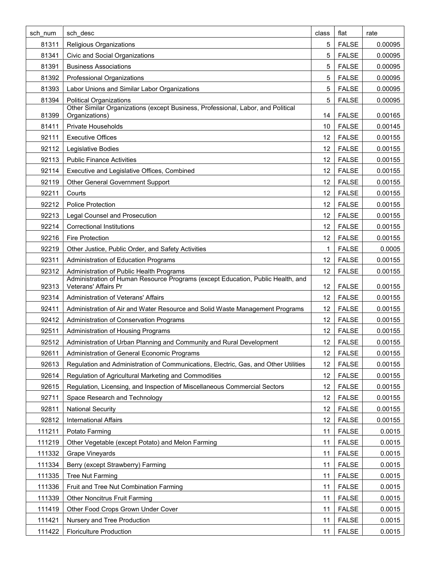| sch num | sch desc                                                                                                | class           | flat         | rate    |
|---------|---------------------------------------------------------------------------------------------------------|-----------------|--------------|---------|
| 81311   | Religious Organizations                                                                                 | 5               | <b>FALSE</b> | 0.00095 |
| 81341   | Civic and Social Organizations                                                                          | 5               | <b>FALSE</b> | 0.00095 |
| 81391   | <b>Business Associations</b>                                                                            | 5               | <b>FALSE</b> | 0.00095 |
| 81392   | Professional Organizations                                                                              | 5               | <b>FALSE</b> | 0.00095 |
| 81393   | Labor Unions and Similar Labor Organizations                                                            | 5               | <b>FALSE</b> | 0.00095 |
| 81394   | <b>Political Organizations</b>                                                                          | 5               | <b>FALSE</b> | 0.00095 |
| 81399   | Other Similar Organizations (except Business, Professional, Labor, and Political<br>Organizations)      | 14              | <b>FALSE</b> | 0.00165 |
| 81411   | Private Households                                                                                      | 10              | <b>FALSE</b> | 0.00145 |
| 92111   | <b>Executive Offices</b>                                                                                | 12              | <b>FALSE</b> | 0.00155 |
| 92112   | Legislative Bodies                                                                                      | 12              | <b>FALSE</b> | 0.00155 |
| 92113   | <b>Public Finance Activities</b>                                                                        | 12              | <b>FALSE</b> | 0.00155 |
| 92114   | Executive and Legislative Offices, Combined                                                             | 12              | <b>FALSE</b> | 0.00155 |
| 92119   | <b>Other General Government Support</b>                                                                 | 12              | <b>FALSE</b> | 0.00155 |
| 92211   | Courts                                                                                                  | 12              | <b>FALSE</b> | 0.00155 |
| 92212   | <b>Police Protection</b>                                                                                | 12 <sup>°</sup> | <b>FALSE</b> | 0.00155 |
| 92213   | <b>Legal Counsel and Prosecution</b>                                                                    | 12              | <b>FALSE</b> | 0.00155 |
| 92214   | <b>Correctional Institutions</b>                                                                        | 12              | <b>FALSE</b> | 0.00155 |
| 92216   | <b>Fire Protection</b>                                                                                  | 12              | <b>FALSE</b> | 0.00155 |
| 92219   | Other Justice, Public Order, and Safety Activities                                                      | 1               | <b>FALSE</b> | 0.0005  |
| 92311   | Administration of Education Programs                                                                    | 12 <sup>°</sup> | <b>FALSE</b> | 0.00155 |
| 92312   | Administration of Public Health Programs                                                                | 12              | <b>FALSE</b> | 0.00155 |
| 92313   | Administration of Human Resource Programs (except Education, Public Health, and<br>Veterans' Affairs Pr | 12              | <b>FALSE</b> | 0.00155 |
| 92314   | Administration of Veterans' Affairs                                                                     | 12              | <b>FALSE</b> | 0.00155 |
| 92411   | Administration of Air and Water Resource and Solid Waste Management Programs                            | 12              | <b>FALSE</b> | 0.00155 |
| 92412   | Administration of Conservation Programs                                                                 | 12              | <b>FALSE</b> | 0.00155 |
| 92511   | Administration of Housing Programs                                                                      | 12              | <b>FALSE</b> | 0.00155 |
| 92512   | Administration of Urban Planning and Community and Rural Development                                    | 12 <sup>2</sup> | <b>FALSE</b> | 0.00155 |
| 92611   | Administration of General Economic Programs                                                             | 12              | <b>FALSE</b> | 0.00155 |
| 92613   | Regulation and Administration of Communications, Electric, Gas, and Other Utilities                     | 12              | <b>FALSE</b> | 0.00155 |
| 92614   | Regulation of Agricultural Marketing and Commodities                                                    | 12              | <b>FALSE</b> | 0.00155 |
| 92615   | Regulation, Licensing, and Inspection of Miscellaneous Commercial Sectors                               | 12              | <b>FALSE</b> | 0.00155 |
| 92711   | Space Research and Technology                                                                           | 12              | <b>FALSE</b> | 0.00155 |
| 92811   | <b>National Security</b>                                                                                | 12              | <b>FALSE</b> | 0.00155 |
| 92812   | <b>International Affairs</b>                                                                            | 12              | <b>FALSE</b> | 0.00155 |
| 111211  | Potato Farming                                                                                          | 11              | <b>FALSE</b> | 0.0015  |
| 111219  | Other Vegetable (except Potato) and Melon Farming                                                       | 11              | <b>FALSE</b> | 0.0015  |
| 111332  | <b>Grape Vineyards</b>                                                                                  | 11              | <b>FALSE</b> | 0.0015  |
| 111334  | Berry (except Strawberry) Farming                                                                       | 11              | <b>FALSE</b> | 0.0015  |
| 111335  | <b>Tree Nut Farming</b>                                                                                 | 11              | <b>FALSE</b> | 0.0015  |
| 111336  | Fruit and Tree Nut Combination Farming                                                                  | 11              | <b>FALSE</b> | 0.0015  |
| 111339  | <b>Other Noncitrus Fruit Farming</b>                                                                    | 11              | <b>FALSE</b> | 0.0015  |
| 111419  | Other Food Crops Grown Under Cover                                                                      | 11              | <b>FALSE</b> | 0.0015  |
| 111421  | Nursery and Tree Production                                                                             | 11              | <b>FALSE</b> | 0.0015  |
| 111422  | <b>Floriculture Production</b>                                                                          | 11              | <b>FALSE</b> | 0.0015  |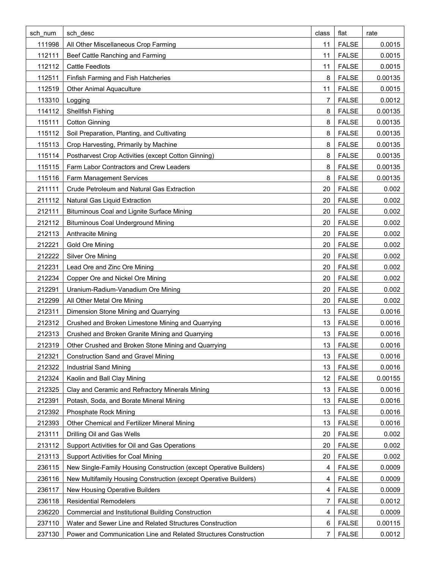| sch num | sch desc                                                           | class | flat         | rate    |
|---------|--------------------------------------------------------------------|-------|--------------|---------|
| 111998  | All Other Miscellaneous Crop Farming                               | 11    | <b>FALSE</b> | 0.0015  |
| 112111  | Beef Cattle Ranching and Farming                                   | 11    | <b>FALSE</b> | 0.0015  |
| 112112  | <b>Cattle Feedlots</b>                                             | 11    | <b>FALSE</b> | 0.0015  |
| 112511  | Finfish Farming and Fish Hatcheries                                | 8     | <b>FALSE</b> | 0.00135 |
| 112519  | <b>Other Animal Aquaculture</b>                                    | 11    | <b>FALSE</b> | 0.0015  |
| 113310  | Logging                                                            | 7     | <b>FALSE</b> | 0.0012  |
| 114112  | Shellfish Fishing                                                  | 8     | <b>FALSE</b> | 0.00135 |
| 115111  | <b>Cotton Ginning</b>                                              | 8     | <b>FALSE</b> | 0.00135 |
| 115112  | Soil Preparation, Planting, and Cultivating                        | 8     | <b>FALSE</b> | 0.00135 |
| 115113  | Crop Harvesting, Primarily by Machine                              | 8     | <b>FALSE</b> | 0.00135 |
| 115114  | Postharvest Crop Activities (except Cotton Ginning)                | 8     | <b>FALSE</b> | 0.00135 |
| 115115  | Farm Labor Contractors and Crew Leaders                            | 8     | <b>FALSE</b> | 0.00135 |
| 115116  | Farm Management Services                                           | 8     | <b>FALSE</b> | 0.00135 |
| 211111  | Crude Petroleum and Natural Gas Extraction                         | 20    | <b>FALSE</b> | 0.002   |
| 211112  | Natural Gas Liquid Extraction                                      | 20    | <b>FALSE</b> | 0.002   |
| 212111  | Bituminous Coal and Lignite Surface Mining                         | 20    | <b>FALSE</b> | 0.002   |
| 212112  | <b>Bituminous Coal Underground Mining</b>                          | 20    | <b>FALSE</b> | 0.002   |
| 212113  | Anthracite Mining                                                  | 20    | <b>FALSE</b> | 0.002   |
| 212221  | Gold Ore Mining                                                    | 20    | <b>FALSE</b> | 0.002   |
| 212222  | Silver Ore Mining                                                  | 20    | <b>FALSE</b> | 0.002   |
| 212231  | Lead Ore and Zinc Ore Mining                                       | 20    | <b>FALSE</b> | 0.002   |
| 212234  | Copper Ore and Nickel Ore Mining                                   | 20    | <b>FALSE</b> | 0.002   |
| 212291  | Uranium-Radium-Vanadium Ore Mining                                 | 20    | <b>FALSE</b> | 0.002   |
| 212299  | All Other Metal Ore Mining                                         | 20    | <b>FALSE</b> | 0.002   |
| 212311  | Dimension Stone Mining and Quarrying                               | 13    | <b>FALSE</b> | 0.0016  |
| 212312  | Crushed and Broken Limestone Mining and Quarrying                  | 13    | <b>FALSE</b> | 0.0016  |
| 212313  | Crushed and Broken Granite Mining and Quarrying                    | 13    | <b>FALSE</b> | 0.0016  |
| 212319  | Other Crushed and Broken Stone Mining and Quarrying                | 13    | <b>FALSE</b> | 0.0016  |
| 212321  | <b>Construction Sand and Gravel Mining</b>                         | 13    | <b>FALSE</b> | 0.0016  |
| 212322  | <b>Industrial Sand Mining</b>                                      | 13    | <b>FALSE</b> | 0.0016  |
| 212324  | Kaolin and Ball Clay Mining                                        | 12    | <b>FALSE</b> | 0.00155 |
| 212325  | Clay and Ceramic and Refractory Minerals Mining                    | 13    | <b>FALSE</b> | 0.0016  |
| 212391  | Potash, Soda, and Borate Mineral Mining                            | 13    | <b>FALSE</b> | 0.0016  |
| 212392  | <b>Phosphate Rock Mining</b>                                       | 13    | <b>FALSE</b> | 0.0016  |
| 212393  | Other Chemical and Fertilizer Mineral Mining                       | 13    | <b>FALSE</b> | 0.0016  |
| 213111  | Drilling Oil and Gas Wells                                         | 20    | <b>FALSE</b> | 0.002   |
| 213112  | Support Activities for Oil and Gas Operations                      | 20    | <b>FALSE</b> | 0.002   |
| 213113  | Support Activities for Coal Mining                                 | 20    | <b>FALSE</b> | 0.002   |
| 236115  | New Single-Family Housing Construction (except Operative Builders) | 4     | <b>FALSE</b> | 0.0009  |
| 236116  | New Multifamily Housing Construction (except Operative Builders)   | 4     | <b>FALSE</b> | 0.0009  |
| 236117  | New Housing Operative Builders                                     | 4     | <b>FALSE</b> | 0.0009  |
| 236118  | <b>Residential Remodelers</b>                                      | 7     | <b>FALSE</b> | 0.0012  |
| 236220  | Commercial and Institutional Building Construction                 | 4     | <b>FALSE</b> | 0.0009  |
| 237110  | Water and Sewer Line and Related Structures Construction           | 6     | <b>FALSE</b> | 0.00115 |
| 237130  | Power and Communication Line and Related Structures Construction   | 7     | <b>FALSE</b> | 0.0012  |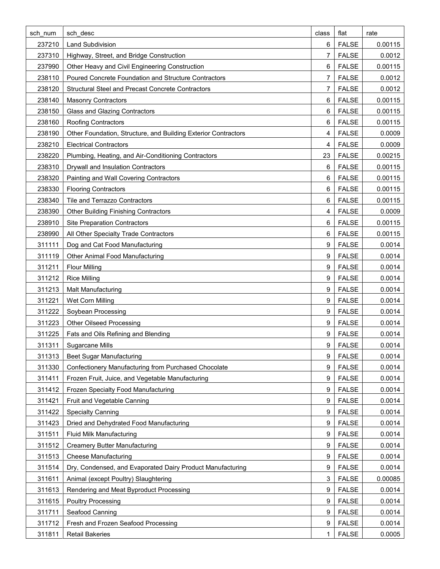| sch num | sch desc                                                       | class | flat         | rate    |
|---------|----------------------------------------------------------------|-------|--------------|---------|
| 237210  | <b>Land Subdivision</b>                                        | 6     | <b>FALSE</b> | 0.00115 |
| 237310  | Highway, Street, and Bridge Construction                       | 7     | <b>FALSE</b> | 0.0012  |
| 237990  | Other Heavy and Civil Engineering Construction                 | 6     | <b>FALSE</b> | 0.00115 |
| 238110  | Poured Concrete Foundation and Structure Contractors           | 7     | <b>FALSE</b> | 0.0012  |
| 238120  | Structural Steel and Precast Concrete Contractors              | 7     | <b>FALSE</b> | 0.0012  |
| 238140  | <b>Masonry Contractors</b>                                     | 6     | <b>FALSE</b> | 0.00115 |
| 238150  | <b>Glass and Glazing Contractors</b>                           | 6     | <b>FALSE</b> | 0.00115 |
| 238160  | <b>Roofing Contractors</b>                                     | 6     | <b>FALSE</b> | 0.00115 |
| 238190  | Other Foundation, Structure, and Building Exterior Contractors | 4     | <b>FALSE</b> | 0.0009  |
| 238210  | <b>Electrical Contractors</b>                                  | 4     | <b>FALSE</b> | 0.0009  |
| 238220  | Plumbing, Heating, and Air-Conditioning Contractors            | 23    | <b>FALSE</b> | 0.00215 |
| 238310  | Drywall and Insulation Contractors                             | 6     | <b>FALSE</b> | 0.00115 |
| 238320  | Painting and Wall Covering Contractors                         | 6     | <b>FALSE</b> | 0.00115 |
| 238330  | <b>Flooring Contractors</b>                                    | 6     | <b>FALSE</b> | 0.00115 |
| 238340  | Tile and Terrazzo Contractors                                  | 6     | <b>FALSE</b> | 0.00115 |
| 238390  | <b>Other Building Finishing Contractors</b>                    | 4     | <b>FALSE</b> | 0.0009  |
| 238910  | <b>Site Preparation Contractors</b>                            | 6     | <b>FALSE</b> | 0.00115 |
| 238990  | All Other Specialty Trade Contractors                          | 6     | <b>FALSE</b> | 0.00115 |
| 311111  | Dog and Cat Food Manufacturing                                 | 9     | <b>FALSE</b> | 0.0014  |
| 311119  | <b>Other Animal Food Manufacturing</b>                         | 9     | <b>FALSE</b> | 0.0014  |
| 311211  | <b>Flour Milling</b>                                           | 9     | <b>FALSE</b> | 0.0014  |
| 311212  | <b>Rice Milling</b>                                            | 9     | <b>FALSE</b> | 0.0014  |
| 311213  | Malt Manufacturing                                             | 9     | <b>FALSE</b> | 0.0014  |
| 311221  | Wet Corn Milling                                               | 9     | <b>FALSE</b> | 0.0014  |
| 311222  | Soybean Processing                                             | 9     | <b>FALSE</b> | 0.0014  |
| 311223  | <b>Other Oilseed Processing</b>                                | 9     | <b>FALSE</b> | 0.0014  |
| 311225  | Fats and Oils Refining and Blending                            | 9     | <b>FALSE</b> | 0.0014  |
| 311311  | Sugarcane Mills                                                | 9     | <b>FALSE</b> | 0.0014  |
| 311313  | <b>Beet Sugar Manufacturing</b>                                | 9     | <b>FALSE</b> | 0.0014  |
| 311330  | Confectionery Manufacturing from Purchased Chocolate           | 9     | <b>FALSE</b> | 0.0014  |
| 311411  | Frozen Fruit, Juice, and Vegetable Manufacturing               | 9     | <b>FALSE</b> | 0.0014  |
| 311412  | Frozen Specialty Food Manufacturing                            | 9     | <b>FALSE</b> | 0.0014  |
| 311421  | Fruit and Vegetable Canning                                    | 9     | <b>FALSE</b> | 0.0014  |
| 311422  | <b>Specialty Canning</b>                                       | 9     | <b>FALSE</b> | 0.0014  |
| 311423  | Dried and Dehydrated Food Manufacturing                        | 9     | <b>FALSE</b> | 0.0014  |
| 311511  | <b>Fluid Milk Manufacturing</b>                                | 9     | <b>FALSE</b> | 0.0014  |
| 311512  | <b>Creamery Butter Manufacturing</b>                           | 9     | <b>FALSE</b> | 0.0014  |
| 311513  | <b>Cheese Manufacturing</b>                                    | 9     | <b>FALSE</b> | 0.0014  |
| 311514  | Dry, Condensed, and Evaporated Dairy Product Manufacturing     | 9     | <b>FALSE</b> | 0.0014  |
| 311611  | Animal (except Poultry) Slaughtering                           | 3     | <b>FALSE</b> | 0.00085 |
| 311613  | Rendering and Meat Byproduct Processing                        | 9     | <b>FALSE</b> | 0.0014  |
| 311615  | <b>Poultry Processing</b>                                      | 9     | <b>FALSE</b> | 0.0014  |
| 311711  | Seafood Canning                                                | 9     | <b>FALSE</b> | 0.0014  |
| 311712  | Fresh and Frozen Seafood Processing                            | 9     | <b>FALSE</b> | 0.0014  |
| 311811  | <b>Retail Bakeries</b>                                         | 1     | <b>FALSE</b> | 0.0005  |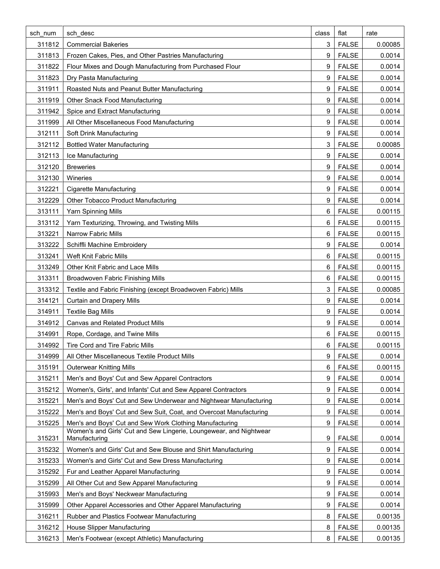| sch num | sch desc                                                                            | class | flat         | rate    |
|---------|-------------------------------------------------------------------------------------|-------|--------------|---------|
| 311812  | <b>Commercial Bakeries</b>                                                          | 3     | <b>FALSE</b> | 0.00085 |
| 311813  | Frozen Cakes, Pies, and Other Pastries Manufacturing                                | 9     | <b>FALSE</b> | 0.0014  |
| 311822  | Flour Mixes and Dough Manufacturing from Purchased Flour                            | 9     | <b>FALSE</b> | 0.0014  |
| 311823  | Dry Pasta Manufacturing                                                             | 9     | <b>FALSE</b> | 0.0014  |
| 311911  | Roasted Nuts and Peanut Butter Manufacturing                                        | 9     | <b>FALSE</b> | 0.0014  |
| 311919  | Other Snack Food Manufacturing                                                      | 9     | <b>FALSE</b> | 0.0014  |
| 311942  | Spice and Extract Manufacturing                                                     | 9     | <b>FALSE</b> | 0.0014  |
| 311999  | All Other Miscellaneous Food Manufacturing                                          | 9     | <b>FALSE</b> | 0.0014  |
| 312111  | Soft Drink Manufacturing                                                            | 9     | <b>FALSE</b> | 0.0014  |
| 312112  | <b>Bottled Water Manufacturing</b>                                                  | 3     | <b>FALSE</b> | 0.00085 |
| 312113  | Ice Manufacturing                                                                   | 9     | <b>FALSE</b> | 0.0014  |
| 312120  | <b>Breweries</b>                                                                    | 9     | <b>FALSE</b> | 0.0014  |
| 312130  | Wineries                                                                            | 9     | <b>FALSE</b> | 0.0014  |
| 312221  | <b>Cigarette Manufacturing</b>                                                      | 9     | <b>FALSE</b> | 0.0014  |
| 312229  | Other Tobacco Product Manufacturing                                                 | 9     | <b>FALSE</b> | 0.0014  |
| 313111  | Yarn Spinning Mills                                                                 | 6     | <b>FALSE</b> | 0.00115 |
| 313112  | Yarn Texturizing, Throwing, and Twisting Mills                                      | 6     | <b>FALSE</b> | 0.00115 |
| 313221  | <b>Narrow Fabric Mills</b>                                                          | 6     | <b>FALSE</b> | 0.00115 |
| 313222  | Schiffli Machine Embroidery                                                         | 9     | <b>FALSE</b> | 0.0014  |
| 313241  | Weft Knit Fabric Mills                                                              | 6     | <b>FALSE</b> | 0.00115 |
| 313249  | Other Knit Fabric and Lace Mills                                                    | 6     | <b>FALSE</b> | 0.00115 |
| 313311  | <b>Broadwoven Fabric Finishing Mills</b>                                            | 6     | <b>FALSE</b> | 0.00115 |
| 313312  | Textile and Fabric Finishing (except Broadwoven Fabric) Mills                       | 3     | <b>FALSE</b> | 0.00085 |
| 314121  | <b>Curtain and Drapery Mills</b>                                                    | 9     | <b>FALSE</b> | 0.0014  |
| 314911  | <b>Textile Bag Mills</b>                                                            | 9     | <b>FALSE</b> | 0.0014  |
| 314912  | <b>Canvas and Related Product Mills</b>                                             | 9     | <b>FALSE</b> | 0.0014  |
| 314991  | Rope, Cordage, and Twine Mills                                                      | 6     | <b>FALSE</b> | 0.00115 |
| 314992  | Tire Cord and Tire Fabric Mills                                                     | 6     | <b>FALSE</b> | 0.00115 |
| 314999  | All Other Miscellaneous Textile Product Mills                                       | 9     | <b>FALSE</b> | 0.0014  |
| 315191  | <b>Outerwear Knitting Mills</b>                                                     | 6     | <b>FALSE</b> | 0.00115 |
| 315211  | Men's and Boys' Cut and Sew Apparel Contractors                                     | 9     | <b>FALSE</b> | 0.0014  |
| 315212  | Women's, Girls', and Infants' Cut and Sew Apparel Contractors                       | 9     | <b>FALSE</b> | 0.0014  |
| 315221  | Men's and Boys' Cut and Sew Underwear and Nightwear Manufacturing                   | 9     | <b>FALSE</b> | 0.0014  |
| 315222  | Men's and Boys' Cut and Sew Suit, Coat, and Overcoat Manufacturing                  | 9     | <b>FALSE</b> | 0.0014  |
| 315225  | Men's and Boys' Cut and Sew Work Clothing Manufacturing                             | 9     | <b>FALSE</b> | 0.0014  |
| 315231  | Women's and Girls' Cut and Sew Lingerie, Loungewear, and Nightwear<br>Manufacturing | 9     | <b>FALSE</b> | 0.0014  |
| 315232  | Women's and Girls' Cut and Sew Blouse and Shirt Manufacturing                       | 9     | <b>FALSE</b> | 0.0014  |
| 315233  | Women's and Girls' Cut and Sew Dress Manufacturing                                  | 9     | <b>FALSE</b> | 0.0014  |
| 315292  | Fur and Leather Apparel Manufacturing                                               | 9     | <b>FALSE</b> | 0.0014  |
| 315299  | All Other Cut and Sew Apparel Manufacturing                                         | 9     | <b>FALSE</b> | 0.0014  |
| 315993  | Men's and Boys' Neckwear Manufacturing                                              | 9     | <b>FALSE</b> | 0.0014  |
| 315999  | Other Apparel Accessories and Other Apparel Manufacturing                           | 9     | <b>FALSE</b> | 0.0014  |
| 316211  | Rubber and Plastics Footwear Manufacturing                                          | 8     | <b>FALSE</b> | 0.00135 |
| 316212  | House Slipper Manufacturing                                                         | 8     | <b>FALSE</b> | 0.00135 |
| 316213  | Men's Footwear (except Athletic) Manufacturing                                      | 8     | <b>FALSE</b> | 0.00135 |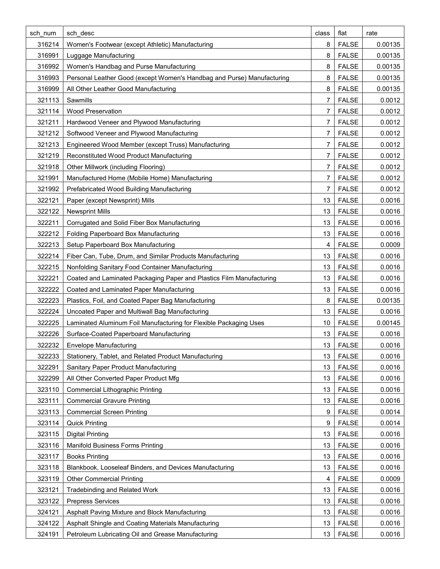| sch num | sch desc                                                               | class | flat         | rate    |
|---------|------------------------------------------------------------------------|-------|--------------|---------|
| 316214  | Women's Footwear (except Athletic) Manufacturing                       | 8     | <b>FALSE</b> | 0.00135 |
| 316991  | Luggage Manufacturing                                                  | 8     | <b>FALSE</b> | 0.00135 |
| 316992  | Women's Handbag and Purse Manufacturing                                | 8     | <b>FALSE</b> | 0.00135 |
| 316993  | Personal Leather Good (except Women's Handbag and Purse) Manufacturing | 8     | <b>FALSE</b> | 0.00135 |
| 316999  | All Other Leather Good Manufacturing                                   | 8     | <b>FALSE</b> | 0.00135 |
| 321113  | Sawmills                                                               | 7     | <b>FALSE</b> | 0.0012  |
| 321114  | <b>Wood Preservation</b>                                               | 7     | <b>FALSE</b> | 0.0012  |
| 321211  | Hardwood Veneer and Plywood Manufacturing                              | 7     | <b>FALSE</b> | 0.0012  |
| 321212  | Softwood Veneer and Plywood Manufacturing                              | 7     | <b>FALSE</b> | 0.0012  |
| 321213  | Engineered Wood Member (except Truss) Manufacturing                    | 7     | <b>FALSE</b> | 0.0012  |
| 321219  | Reconstituted Wood Product Manufacturing                               | 7     | <b>FALSE</b> | 0.0012  |
| 321918  | Other Millwork (including Flooring)                                    | 7     | <b>FALSE</b> | 0.0012  |
| 321991  | Manufactured Home (Mobile Home) Manufacturing                          | 7     | <b>FALSE</b> | 0.0012  |
| 321992  | Prefabricated Wood Building Manufacturing                              | 7     | <b>FALSE</b> | 0.0012  |
| 322121  | Paper (except Newsprint) Mills                                         | 13    | <b>FALSE</b> | 0.0016  |
| 322122  | <b>Newsprint Mills</b>                                                 | 13    | <b>FALSE</b> | 0.0016  |
| 322211  | Corrugated and Solid Fiber Box Manufacturing                           | 13    | <b>FALSE</b> | 0.0016  |
| 322212  | Folding Paperboard Box Manufacturing                                   | 13    | <b>FALSE</b> | 0.0016  |
| 322213  | Setup Paperboard Box Manufacturing                                     | 4     | <b>FALSE</b> | 0.0009  |
| 322214  | Fiber Can, Tube, Drum, and Similar Products Manufacturing              | 13    | <b>FALSE</b> | 0.0016  |
| 322215  | Nonfolding Sanitary Food Container Manufacturing                       | 13    | <b>FALSE</b> | 0.0016  |
| 322221  | Coated and Laminated Packaging Paper and Plastics Film Manufacturing   | 13    | <b>FALSE</b> | 0.0016  |
| 322222  | Coated and Laminated Paper Manufacturing                               | 13    | <b>FALSE</b> | 0.0016  |
| 322223  | Plastics, Foil, and Coated Paper Bag Manufacturing                     | 8     | <b>FALSE</b> | 0.00135 |
| 322224  | Uncoated Paper and Multiwall Bag Manufacturing                         | 13    | <b>FALSE</b> | 0.0016  |
| 322225  | Laminated Aluminum Foil Manufacturing for Flexible Packaging Uses      | 10    | <b>FALSE</b> | 0.00145 |
| 322226  | Surface-Coated Paperboard Manufacturing                                | 13    | <b>FALSE</b> | 0.0016  |
| 322232  | <b>Envelope Manufacturing</b>                                          | 13    | <b>FALSE</b> | 0.0016  |
| 322233  | Stationery, Tablet, and Related Product Manufacturing                  | 13    | <b>FALSE</b> | 0.0016  |
| 322291  | Sanitary Paper Product Manufacturing                                   | 13    | <b>FALSE</b> | 0.0016  |
| 322299  | All Other Converted Paper Product Mfg                                  | 13    | <b>FALSE</b> | 0.0016  |
| 323110  | <b>Commercial Lithographic Printing</b>                                | 13    | <b>FALSE</b> | 0.0016  |
| 323111  | <b>Commercial Gravure Printing</b>                                     | 13    | <b>FALSE</b> | 0.0016  |
| 323113  | <b>Commercial Screen Printing</b>                                      | 9     | <b>FALSE</b> | 0.0014  |
| 323114  | <b>Quick Printing</b>                                                  | 9     | <b>FALSE</b> | 0.0014  |
| 323115  | <b>Digital Printing</b>                                                | 13    | <b>FALSE</b> | 0.0016  |
| 323116  | <b>Manifold Business Forms Printing</b>                                | 13    | <b>FALSE</b> | 0.0016  |
| 323117  | <b>Books Printing</b>                                                  | 13    | <b>FALSE</b> | 0.0016  |
| 323118  | Blankbook, Looseleaf Binders, and Devices Manufacturing                | 13    | <b>FALSE</b> | 0.0016  |
| 323119  | <b>Other Commercial Printing</b>                                       | 4     | <b>FALSE</b> | 0.0009  |
| 323121  | Tradebinding and Related Work                                          | 13    | <b>FALSE</b> | 0.0016  |
| 323122  | <b>Prepress Services</b>                                               | 13    | <b>FALSE</b> | 0.0016  |
| 324121  | Asphalt Paving Mixture and Block Manufacturing                         | 13    | <b>FALSE</b> | 0.0016  |
| 324122  | Asphalt Shingle and Coating Materials Manufacturing                    | 13    | <b>FALSE</b> | 0.0016  |
| 324191  | Petroleum Lubricating Oil and Grease Manufacturing                     | 13    | <b>FALSE</b> | 0.0016  |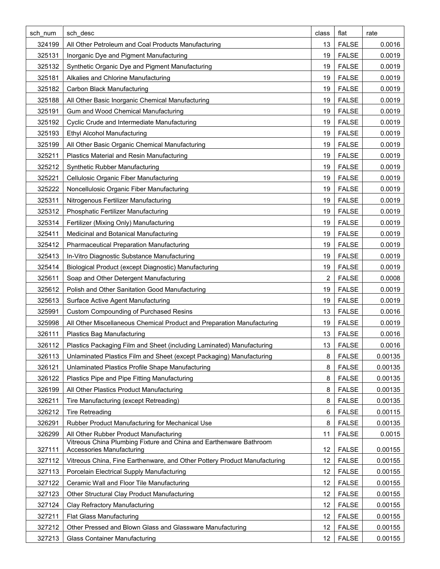| sch num | sch desc                                                                                        | class | flat         | rate    |
|---------|-------------------------------------------------------------------------------------------------|-------|--------------|---------|
| 324199  | All Other Petroleum and Coal Products Manufacturing                                             | 13    | <b>FALSE</b> | 0.0016  |
| 325131  | Inorganic Dye and Pigment Manufacturing                                                         | 19    | <b>FALSE</b> | 0.0019  |
| 325132  | Synthetic Organic Dye and Pigment Manufacturing                                                 | 19    | <b>FALSE</b> | 0.0019  |
| 325181  | Alkalies and Chlorine Manufacturing                                                             | 19    | <b>FALSE</b> | 0.0019  |
| 325182  | <b>Carbon Black Manufacturing</b>                                                               | 19    | <b>FALSE</b> | 0.0019  |
| 325188  | All Other Basic Inorganic Chemical Manufacturing                                                | 19    | <b>FALSE</b> | 0.0019  |
| 325191  | Gum and Wood Chemical Manufacturing                                                             | 19    | <b>FALSE</b> | 0.0019  |
| 325192  | Cyclic Crude and Intermediate Manufacturing                                                     | 19    | <b>FALSE</b> | 0.0019  |
| 325193  | <b>Ethyl Alcohol Manufacturing</b>                                                              | 19    | <b>FALSE</b> | 0.0019  |
| 325199  | All Other Basic Organic Chemical Manufacturing                                                  | 19    | <b>FALSE</b> | 0.0019  |
| 325211  | Plastics Material and Resin Manufacturing                                                       | 19    | <b>FALSE</b> | 0.0019  |
| 325212  | Synthetic Rubber Manufacturing                                                                  | 19    | <b>FALSE</b> | 0.0019  |
| 325221  | Cellulosic Organic Fiber Manufacturing                                                          | 19    | <b>FALSE</b> | 0.0019  |
| 325222  | Noncellulosic Organic Fiber Manufacturing                                                       | 19    | <b>FALSE</b> | 0.0019  |
| 325311  | Nitrogenous Fertilizer Manufacturing                                                            | 19    | <b>FALSE</b> | 0.0019  |
| 325312  | Phosphatic Fertilizer Manufacturing                                                             | 19    | <b>FALSE</b> | 0.0019  |
| 325314  | Fertilizer (Mixing Only) Manufacturing                                                          | 19    | <b>FALSE</b> | 0.0019  |
| 325411  | Medicinal and Botanical Manufacturing                                                           | 19    | <b>FALSE</b> | 0.0019  |
| 325412  | <b>Pharmaceutical Preparation Manufacturing</b>                                                 | 19    | <b>FALSE</b> | 0.0019  |
| 325413  | In-Vitro Diagnostic Substance Manufacturing                                                     | 19    | <b>FALSE</b> | 0.0019  |
| 325414  | Biological Product (except Diagnostic) Manufacturing                                            | 19    | <b>FALSE</b> | 0.0019  |
| 325611  | Soap and Other Detergent Manufacturing                                                          | 2     | <b>FALSE</b> | 0.0008  |
| 325612  | Polish and Other Sanitation Good Manufacturing                                                  | 19    | <b>FALSE</b> | 0.0019  |
| 325613  | Surface Active Agent Manufacturing                                                              | 19    | <b>FALSE</b> | 0.0019  |
| 325991  | <b>Custom Compounding of Purchased Resins</b>                                                   | 13    | <b>FALSE</b> | 0.0016  |
| 325998  | All Other Miscellaneous Chemical Product and Preparation Manufacturing                          | 19    | <b>FALSE</b> | 0.0019  |
| 326111  | <b>Plastics Bag Manufacturing</b>                                                               | 13    | <b>FALSE</b> | 0.0016  |
| 326112  | Plastics Packaging Film and Sheet (including Laminated) Manufacturing                           | 13    | <b>FALSE</b> | 0.0016  |
| 326113  | Unlaminated Plastics Film and Sheet (except Packaging) Manufacturing                            | 8     | <b>FALSE</b> | 0.00135 |
| 326121  | Unlaminated Plastics Profile Shape Manufacturing                                                | 8     | <b>FALSE</b> | 0.00135 |
| 326122  | Plastics Pipe and Pipe Fitting Manufacturing                                                    | 8     | <b>FALSE</b> | 0.00135 |
| 326199  | All Other Plastics Product Manufacturing                                                        | 8     | <b>FALSE</b> | 0.00135 |
| 326211  | Tire Manufacturing (except Retreading)                                                          | 8     | <b>FALSE</b> | 0.00135 |
| 326212  | <b>Tire Retreading</b>                                                                          | 6     | <b>FALSE</b> | 0.00115 |
| 326291  | Rubber Product Manufacturing for Mechanical Use                                                 | 8     | <b>FALSE</b> | 0.00135 |
| 326299  | All Other Rubber Product Manufacturing                                                          | 11    | <b>FALSE</b> | 0.0015  |
| 327111  | Vitreous China Plumbing Fixture and China and Earthenware Bathroom<br>Accessories Manufacturing | 12    | <b>FALSE</b> | 0.00155 |
| 327112  | Vitreous China, Fine Earthenware, and Other Pottery Product Manufacturing                       | 12    | <b>FALSE</b> | 0.00155 |
| 327113  | Porcelain Electrical Supply Manufacturing                                                       | 12    | <b>FALSE</b> | 0.00155 |
| 327122  | Ceramic Wall and Floor Tile Manufacturing                                                       | 12    | <b>FALSE</b> | 0.00155 |
| 327123  | Other Structural Clay Product Manufacturing                                                     | 12    | <b>FALSE</b> | 0.00155 |
| 327124  | Clay Refractory Manufacturing                                                                   | 12    | <b>FALSE</b> | 0.00155 |
| 327211  | <b>Flat Glass Manufacturing</b>                                                                 | 12    | <b>FALSE</b> | 0.00155 |
| 327212  | Other Pressed and Blown Glass and Glassware Manufacturing                                       | 12    | <b>FALSE</b> | 0.00155 |
| 327213  | <b>Glass Container Manufacturing</b>                                                            | 12    | <b>FALSE</b> | 0.00155 |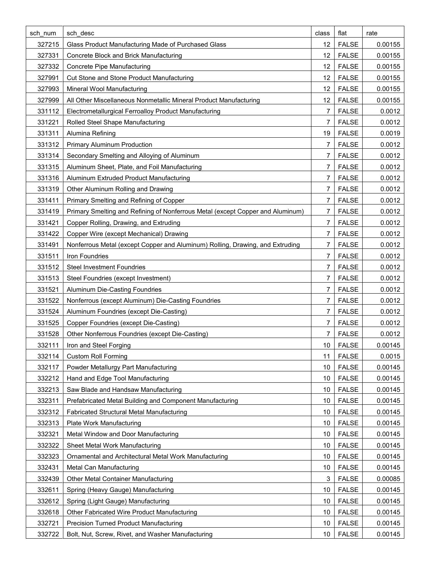| sch num | sch desc                                                                       | class           | flat         | rate    |
|---------|--------------------------------------------------------------------------------|-----------------|--------------|---------|
| 327215  | Glass Product Manufacturing Made of Purchased Glass                            | 12 <sup>°</sup> | <b>FALSE</b> | 0.00155 |
| 327331  | Concrete Block and Brick Manufacturing                                         | 12              | <b>FALSE</b> | 0.00155 |
| 327332  | Concrete Pipe Manufacturing                                                    | 12              | <b>FALSE</b> | 0.00155 |
| 327991  | Cut Stone and Stone Product Manufacturing                                      | 12              | <b>FALSE</b> | 0.00155 |
| 327993  | Mineral Wool Manufacturing                                                     | 12              | <b>FALSE</b> | 0.00155 |
| 327999  | All Other Miscellaneous Nonmetallic Mineral Product Manufacturing              | 12 <sup>°</sup> | <b>FALSE</b> | 0.00155 |
| 331112  | Electrometallurgical Ferroalloy Product Manufacturing                          | 7               | <b>FALSE</b> | 0.0012  |
| 331221  | Rolled Steel Shape Manufacturing                                               | 7               | <b>FALSE</b> | 0.0012  |
| 331311  | Alumina Refining                                                               | 19              | <b>FALSE</b> | 0.0019  |
| 331312  | <b>Primary Aluminum Production</b>                                             | 7               | <b>FALSE</b> | 0.0012  |
| 331314  | Secondary Smelting and Alloying of Aluminum                                    | 7               | <b>FALSE</b> | 0.0012  |
| 331315  | Aluminum Sheet, Plate, and Foil Manufacturing                                  | 7               | <b>FALSE</b> | 0.0012  |
| 331316  | Aluminum Extruded Product Manufacturing                                        | 7               | <b>FALSE</b> | 0.0012  |
| 331319  | Other Aluminum Rolling and Drawing                                             | 7               | <b>FALSE</b> | 0.0012  |
| 331411  | Primary Smelting and Refining of Copper                                        | 7               | <b>FALSE</b> | 0.0012  |
| 331419  | Primary Smelting and Refining of Nonferrous Metal (except Copper and Aluminum) | 7               | <b>FALSE</b> | 0.0012  |
| 331421  | Copper Rolling, Drawing, and Extruding                                         | 7               | <b>FALSE</b> | 0.0012  |
| 331422  | Copper Wire (except Mechanical) Drawing                                        | 7               | <b>FALSE</b> | 0.0012  |
| 331491  | Nonferrous Metal (except Copper and Aluminum) Rolling, Drawing, and Extruding  | 7               | <b>FALSE</b> | 0.0012  |
| 331511  | Iron Foundries                                                                 | 7               | <b>FALSE</b> | 0.0012  |
| 331512  | <b>Steel Investment Foundries</b>                                              | 7               | <b>FALSE</b> | 0.0012  |
| 331513  | Steel Foundries (except Investment)                                            | 7               | <b>FALSE</b> | 0.0012  |
| 331521  | Aluminum Die-Casting Foundries                                                 | 7               | <b>FALSE</b> | 0.0012  |
| 331522  | Nonferrous (except Aluminum) Die-Casting Foundries                             | 7               | <b>FALSE</b> | 0.0012  |
| 331524  | Aluminum Foundries (except Die-Casting)                                        | 7               | <b>FALSE</b> | 0.0012  |
| 331525  | Copper Foundries (except Die-Casting)                                          | 7               | <b>FALSE</b> | 0.0012  |
| 331528  | Other Nonferrous Foundries (except Die-Casting)                                | 7               | <b>FALSE</b> | 0.0012  |
| 332111  | Iron and Steel Forging                                                         | 10 I            | <b>FALSE</b> | 0.00145 |
| 332114  | <b>Custom Roll Forming</b>                                                     | 11              | <b>FALSE</b> | 0.0015  |
| 332117  | Powder Metallurgy Part Manufacturing                                           | 10              | <b>FALSE</b> | 0.00145 |
| 332212  | Hand and Edge Tool Manufacturing                                               | 10              | <b>FALSE</b> | 0.00145 |
| 332213  | Saw Blade and Handsaw Manufacturing                                            | 10              | <b>FALSE</b> | 0.00145 |
| 332311  | Prefabricated Metal Building and Component Manufacturing                       | 10              | <b>FALSE</b> | 0.00145 |
| 332312  | Fabricated Structural Metal Manufacturing                                      | 10              | <b>FALSE</b> | 0.00145 |
| 332313  | <b>Plate Work Manufacturing</b>                                                | 10              | <b>FALSE</b> | 0.00145 |
| 332321  | Metal Window and Door Manufacturing                                            | 10              | <b>FALSE</b> | 0.00145 |
| 332322  | Sheet Metal Work Manufacturing                                                 | 10              | <b>FALSE</b> | 0.00145 |
| 332323  | Ornamental and Architectural Metal Work Manufacturing                          | 10              | <b>FALSE</b> | 0.00145 |
| 332431  | Metal Can Manufacturing                                                        | 10              | <b>FALSE</b> | 0.00145 |
| 332439  | Other Metal Container Manufacturing                                            | 3               | <b>FALSE</b> | 0.00085 |
| 332611  | Spring (Heavy Gauge) Manufacturing                                             | 10              | <b>FALSE</b> | 0.00145 |
| 332612  | Spring (Light Gauge) Manufacturing                                             | 10              | <b>FALSE</b> | 0.00145 |
| 332618  | Other Fabricated Wire Product Manufacturing                                    | 10              | <b>FALSE</b> | 0.00145 |
| 332721  | <b>Precision Turned Product Manufacturing</b>                                  | 10              | <b>FALSE</b> | 0.00145 |
| 332722  | Bolt, Nut, Screw, Rivet, and Washer Manufacturing                              | 10              | <b>FALSE</b> | 0.00145 |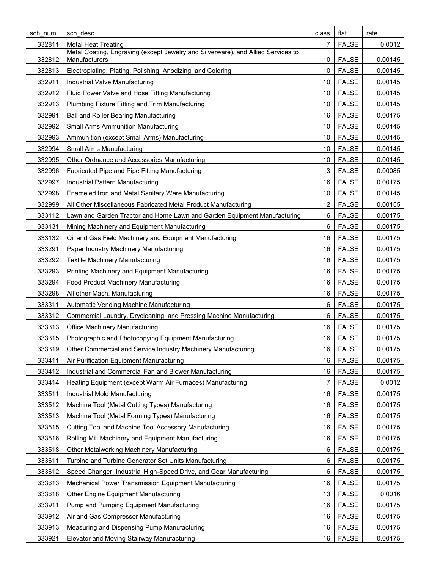| sch num | sch desc                                                                                          | class | flat         | rate    |
|---------|---------------------------------------------------------------------------------------------------|-------|--------------|---------|
| 332811  | <b>Metal Heat Treating</b>                                                                        | 7     | <b>FALSE</b> | 0.0012  |
| 332812  | Metal Coating, Engraving (except Jewelry and Silverware), and Allied Services to<br>Manufacturers | 10    | <b>FALSE</b> | 0.00145 |
| 332813  | Electroplating, Plating, Polishing, Anodizing, and Coloring                                       | 10    | <b>FALSE</b> | 0.00145 |
| 332911  | Industrial Valve Manufacturing                                                                    | 10    | <b>FALSE</b> | 0.00145 |
| 332912  | Fluid Power Valve and Hose Fitting Manufacturing                                                  | 10    | <b>FALSE</b> | 0.00145 |
| 332913  | Plumbing Fixture Fitting and Trim Manufacturing                                                   | 10    | <b>FALSE</b> | 0.00145 |
| 332991  | Ball and Roller Bearing Manufacturing                                                             | 16    | <b>FALSE</b> | 0.00175 |
| 332992  | <b>Small Arms Ammunition Manufacturing</b>                                                        | 10    | <b>FALSE</b> | 0.00145 |
| 332993  | Ammunition (except Small Arms) Manufacturing                                                      | 10    | <b>FALSE</b> | 0.00145 |
| 332994  | Small Arms Manufacturing                                                                          | 10    | <b>FALSE</b> | 0.00145 |
| 332995  | Other Ordnance and Accessories Manufacturing                                                      | 10    | <b>FALSE</b> | 0.00145 |
| 332996  | Fabricated Pipe and Pipe Fitting Manufacturing                                                    | 3     | <b>FALSE</b> | 0.00085 |
| 332997  | Industrial Pattern Manufacturing                                                                  | 16    | <b>FALSE</b> | 0.00175 |
| 332998  | Enameled Iron and Metal Sanitary Ware Manufacturing                                               | 10    | <b>FALSE</b> | 0.00145 |
| 332999  | All Other Miscellaneous Fabricated Metal Product Manufacturing                                    | 12    | <b>FALSE</b> | 0.00155 |
| 333112  | Lawn and Garden Tractor and Home Lawn and Garden Equipment Manufacturing                          | 16    | <b>FALSE</b> | 0.00175 |
| 333131  | Mining Machinery and Equipment Manufacturing                                                      | 16    | <b>FALSE</b> | 0.00175 |
| 333132  | Oil and Gas Field Machinery and Equipment Manufacturing                                           | 16    | <b>FALSE</b> | 0.00175 |
| 333291  | Paper Industry Machinery Manufacturing                                                            | 16    | <b>FALSE</b> | 0.00175 |
| 333292  | <b>Textile Machinery Manufacturing</b>                                                            | 16    | <b>FALSE</b> | 0.00175 |
| 333293  | Printing Machinery and Equipment Manufacturing                                                    | 16    | <b>FALSE</b> | 0.00175 |
| 333294  | Food Product Machinery Manufacturing                                                              | 16    | <b>FALSE</b> | 0.00175 |
| 333298  | All other Mach. Manufacturing                                                                     | 16    | <b>FALSE</b> | 0.00175 |
| 333311  | Automatic Vending Machine Manufacturing                                                           | 16    | <b>FALSE</b> | 0.00175 |
| 333312  | Commercial Laundry, Drycleaning, and Pressing Machine Manufacturing                               | 16    | <b>FALSE</b> | 0.00175 |
| 333313  | <b>Office Machinery Manufacturing</b>                                                             | 16    | <b>FALSE</b> | 0.00175 |
| 333315  | Photographic and Photocopying Equipment Manufacturing                                             | 16    | <b>FALSE</b> | 0.00175 |
| 333319  | Other Commercial and Service Industry Machinery Manufacturing                                     | 16    | <b>FALSE</b> | 0.00175 |
| 333411  | Air Purification Equipment Manufacturing                                                          | 16    | <b>FALSE</b> | 0.00175 |
| 333412  | Industrial and Commercial Fan and Blower Manufacturing                                            | 16    | <b>FALSE</b> | 0.00175 |
| 333414  | Heating Equipment (except Warm Air Furnaces) Manufacturing                                        | 7     | <b>FALSE</b> | 0.0012  |
| 333511  | Industrial Mold Manufacturing                                                                     | 16    | <b>FALSE</b> | 0.00175 |
| 333512  | Machine Tool (Metal Cutting Types) Manufacturing                                                  | 16    | <b>FALSE</b> | 0.00175 |
| 333513  | Machine Tool (Metal Forming Types) Manufacturing                                                  | 16    | <b>FALSE</b> | 0.00175 |
| 333515  | Cutting Tool and Machine Tool Accessory Manufacturing                                             | 16    | <b>FALSE</b> | 0.00175 |
| 333516  | Rolling Mill Machinery and Equipment Manufacturing                                                | 16    | <b>FALSE</b> | 0.00175 |
| 333518  | Other Metalworking Machinery Manufacturing                                                        | 16    | <b>FALSE</b> | 0.00175 |
| 333611  | Turbine and Turbine Generator Set Units Manufacturing                                             | 16    | <b>FALSE</b> | 0.00175 |
| 333612  | Speed Changer, Industrial High-Speed Drive, and Gear Manufacturing                                | 16    | <b>FALSE</b> | 0.00175 |
| 333613  | Mechanical Power Transmission Equipment Manufacturing                                             | 16    | <b>FALSE</b> | 0.00175 |
| 333618  | Other Engine Equipment Manufacturing                                                              | 13    | <b>FALSE</b> | 0.0016  |
| 333911  | Pump and Pumping Equipment Manufacturing                                                          | 16    | <b>FALSE</b> | 0.00175 |
| 333912  | Air and Gas Compressor Manufacturing                                                              | 16    | <b>FALSE</b> | 0.00175 |
| 333913  | Measuring and Dispensing Pump Manufacturing                                                       | 16    | <b>FALSE</b> | 0.00175 |
| 333921  | Elevator and Moving Stairway Manufacturing                                                        | 16    | <b>FALSE</b> | 0.00175 |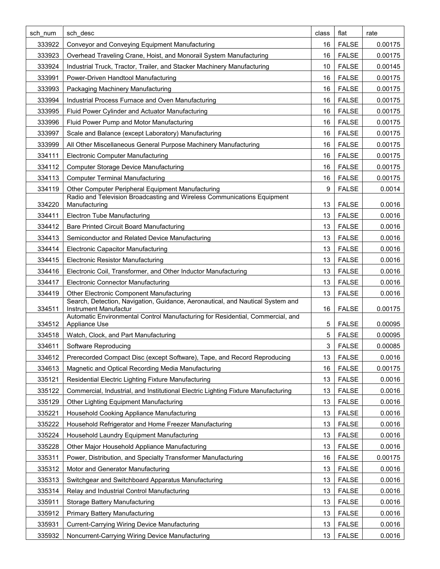| sch num | sch desc                                                                                                       | class          | flat         | rate    |
|---------|----------------------------------------------------------------------------------------------------------------|----------------|--------------|---------|
| 333922  | Conveyor and Conveying Equipment Manufacturing                                                                 | 16             | <b>FALSE</b> | 0.00175 |
| 333923  | Overhead Traveling Crane, Hoist, and Monorail System Manufacturing                                             | 16             | <b>FALSE</b> | 0.00175 |
| 333924  | Industrial Truck, Tractor, Trailer, and Stacker Machinery Manufacturing                                        | 10             | <b>FALSE</b> | 0.00145 |
| 333991  | Power-Driven Handtool Manufacturing                                                                            | 16             | <b>FALSE</b> | 0.00175 |
| 333993  | Packaging Machinery Manufacturing                                                                              | 16             | <b>FALSE</b> | 0.00175 |
| 333994  | Industrial Process Furnace and Oven Manufacturing                                                              | 16             | <b>FALSE</b> | 0.00175 |
| 333995  | Fluid Power Cylinder and Actuator Manufacturing                                                                | 16             | <b>FALSE</b> | 0.00175 |
| 333996  | Fluid Power Pump and Motor Manufacturing                                                                       | 16             | <b>FALSE</b> | 0.00175 |
| 333997  | Scale and Balance (except Laboratory) Manufacturing                                                            | 16             | <b>FALSE</b> | 0.00175 |
| 333999  | All Other Miscellaneous General Purpose Machinery Manufacturing                                                | 16             | <b>FALSE</b> | 0.00175 |
| 334111  | <b>Electronic Computer Manufacturing</b>                                                                       | 16             | <b>FALSE</b> | 0.00175 |
| 334112  | <b>Computer Storage Device Manufacturing</b>                                                                   | 16             | <b>FALSE</b> | 0.00175 |
| 334113  | <b>Computer Terminal Manufacturing</b>                                                                         | 16             | <b>FALSE</b> | 0.00175 |
| 334119  | Other Computer Peripheral Equipment Manufacturing                                                              | 9              | <b>FALSE</b> | 0.0014  |
| 334220  | Radio and Television Broadcasting and Wireless Communications Equipment<br>Manufacturing                       | 13             | <b>FALSE</b> | 0.0016  |
| 334411  | <b>Electron Tube Manufacturing</b>                                                                             | 13             | <b>FALSE</b> | 0.0016  |
| 334412  | <b>Bare Printed Circuit Board Manufacturing</b>                                                                | 13             | <b>FALSE</b> | 0.0016  |
| 334413  | Semiconductor and Related Device Manufacturing                                                                 | 13             | <b>FALSE</b> | 0.0016  |
| 334414  | <b>Electronic Capacitor Manufacturing</b>                                                                      | 13             | <b>FALSE</b> | 0.0016  |
| 334415  | <b>Electronic Resistor Manufacturing</b>                                                                       | 13             | <b>FALSE</b> | 0.0016  |
| 334416  | Electronic Coil, Transformer, and Other Inductor Manufacturing                                                 | 13             | <b>FALSE</b> | 0.0016  |
| 334417  | <b>Electronic Connector Manufacturing</b>                                                                      | 13             | <b>FALSE</b> | 0.0016  |
| 334419  | <b>Other Electronic Component Manufacturing</b>                                                                | 13             | <b>FALSE</b> | 0.0016  |
|         | Search, Detection, Navigation, Guidance, Aeronautical, and Nautical System and                                 |                |              |         |
| 334511  | <b>Instrument Manufactur</b><br>Automatic Environmental Control Manufacturing for Residential, Commercial, and | 16             | <b>FALSE</b> | 0.00175 |
| 334512  | Appliance Use                                                                                                  | 5              | <b>FALSE</b> | 0.00095 |
| 334518  | Watch, Clock, and Part Manufacturing                                                                           | 5              | <b>FALSE</b> | 0.00095 |
| 334611  | Software Reproducing                                                                                           | 3 <sup>1</sup> | <b>FALSE</b> | 0.00085 |
| 334612  | Prerecorded Compact Disc (except Software), Tape, and Record Reproducing                                       | 13             | <b>FALSE</b> | 0.0016  |
| 334613  | Magnetic and Optical Recording Media Manufacturing                                                             | 16             | <b>FALSE</b> | 0.00175 |
| 335121  | Residential Electric Lighting Fixture Manufacturing                                                            | 13             | <b>FALSE</b> | 0.0016  |
| 335122  | Commercial, Industrial, and Institutional Electric Lighting Fixture Manufacturing                              | 13             | <b>FALSE</b> | 0.0016  |
| 335129  | Other Lighting Equipment Manufacturing                                                                         | 13             | <b>FALSE</b> | 0.0016  |
| 335221  | Household Cooking Appliance Manufacturing                                                                      | 13             | <b>FALSE</b> | 0.0016  |
| 335222  | Household Refrigerator and Home Freezer Manufacturing                                                          | 13             | <b>FALSE</b> | 0.0016  |
| 335224  | Household Laundry Equipment Manufacturing                                                                      | 13             | <b>FALSE</b> | 0.0016  |
| 335228  | Other Major Household Appliance Manufacturing                                                                  | 13             | <b>FALSE</b> | 0.0016  |
| 335311  | Power, Distribution, and Specialty Transformer Manufacturing                                                   | 16             | <b>FALSE</b> | 0.00175 |
| 335312  | Motor and Generator Manufacturing                                                                              | 13             | <b>FALSE</b> | 0.0016  |
| 335313  | Switchgear and Switchboard Apparatus Manufacturing                                                             | 13             | <b>FALSE</b> | 0.0016  |
| 335314  | Relay and Industrial Control Manufacturing                                                                     | 13             | <b>FALSE</b> | 0.0016  |
| 335911  | Storage Battery Manufacturing                                                                                  | 13             | <b>FALSE</b> | 0.0016  |
| 335912  | <b>Primary Battery Manufacturing</b>                                                                           | 13             | <b>FALSE</b> | 0.0016  |
| 335931  | <b>Current-Carrying Wiring Device Manufacturing</b>                                                            | 13             | <b>FALSE</b> | 0.0016  |
| 335932  | Noncurrent-Carrying Wiring Device Manufacturing                                                                | 13             | <b>FALSE</b> | 0.0016  |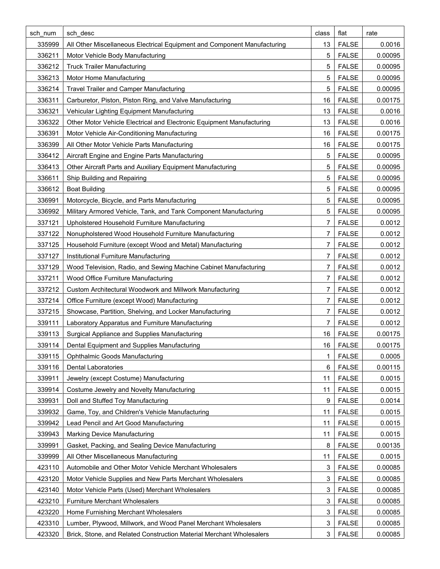| sch_num | sch desc                                                                 | class | flat                         | rate    |
|---------|--------------------------------------------------------------------------|-------|------------------------------|---------|
| 335999  | All Other Miscellaneous Electrical Equipment and Component Manufacturing | 13    | <b>FALSE</b>                 | 0.0016  |
| 336211  | Motor Vehicle Body Manufacturing                                         | 5     | <b>FALSE</b>                 | 0.00095 |
| 336212  | <b>Truck Trailer Manufacturing</b>                                       | 5     | <b>FALSE</b>                 | 0.00095 |
| 336213  | Motor Home Manufacturing                                                 | 5     | <b>FALSE</b>                 | 0.00095 |
| 336214  | <b>Travel Trailer and Camper Manufacturing</b>                           | 5     | <b>FALSE</b>                 | 0.00095 |
| 336311  | Carburetor, Piston, Piston Ring, and Valve Manufacturing                 | 16    | <b>FALSE</b>                 | 0.00175 |
| 336321  | Vehicular Lighting Equipment Manufacturing                               | 13    | <b>FALSE</b>                 | 0.0016  |
| 336322  | Other Motor Vehicle Electrical and Electronic Equipment Manufacturing    | 13    | <b>FALSE</b>                 | 0.0016  |
| 336391  | Motor Vehicle Air-Conditioning Manufacturing                             | 16    | <b>FALSE</b>                 | 0.00175 |
| 336399  | All Other Motor Vehicle Parts Manufacturing                              | 16    | <b>FALSE</b>                 | 0.00175 |
| 336412  | Aircraft Engine and Engine Parts Manufacturing                           | 5     | <b>FALSE</b>                 | 0.00095 |
| 336413  | Other Aircraft Parts and Auxiliary Equipment Manufacturing               | 5     | <b>FALSE</b>                 | 0.00095 |
| 336611  | Ship Building and Repairing                                              | 5     | <b>FALSE</b>                 | 0.00095 |
| 336612  | <b>Boat Building</b>                                                     | 5     | <b>FALSE</b>                 | 0.00095 |
| 336991  | Motorcycle, Bicycle, and Parts Manufacturing                             | 5     | <b>FALSE</b>                 | 0.00095 |
| 336992  | Military Armored Vehicle, Tank, and Tank Component Manufacturing         | 5     | <b>FALSE</b>                 | 0.00095 |
| 337121  | Upholstered Household Furniture Manufacturing                            | 7     | <b>FALSE</b>                 | 0.0012  |
| 337122  | Nonupholstered Wood Household Furniture Manufacturing                    | 7     | <b>FALSE</b>                 | 0.0012  |
| 337125  | Household Furniture (except Wood and Metal) Manufacturing                | 7     | <b>FALSE</b>                 | 0.0012  |
| 337127  | Institutional Furniture Manufacturing                                    | 7     | <b>FALSE</b>                 | 0.0012  |
| 337129  | Wood Television, Radio, and Sewing Machine Cabinet Manufacturing         | 7     | <b>FALSE</b>                 | 0.0012  |
| 337211  | Wood Office Furniture Manufacturing                                      | 7     | <b>FALSE</b>                 | 0.0012  |
| 337212  | Custom Architectural Woodwork and Millwork Manufacturing                 | 7     | <b>FALSE</b>                 | 0.0012  |
| 337214  | Office Furniture (except Wood) Manufacturing                             | 7     | <b>FALSE</b>                 | 0.0012  |
| 337215  | Showcase, Partition, Shelving, and Locker Manufacturing                  | 7     | <b>FALSE</b>                 | 0.0012  |
| 339111  | Laboratory Apparatus and Furniture Manufacturing                         | 7     | <b>FALSE</b>                 | 0.0012  |
| 339113  | Surgical Appliance and Supplies Manufacturing                            | 16    | <b>FALSE</b>                 | 0.00175 |
| 339114  | Dental Equipment and Supplies Manufacturing                              | 16    | <b>FALSE</b>                 | 0.00175 |
| 339115  | <b>Ophthalmic Goods Manufacturing</b>                                    | 1     | <b>FALSE</b>                 | 0.0005  |
| 339116  | <b>Dental Laboratories</b>                                               | 6     | <b>FALSE</b>                 | 0.00115 |
| 339911  | Jewelry (except Costume) Manufacturing                                   | 11    | <b>FALSE</b>                 | 0.0015  |
| 339914  | Costume Jewelry and Novelty Manufacturing                                | 11    | <b>FALSE</b>                 | 0.0015  |
| 339931  | Doll and Stuffed Toy Manufacturing                                       | 9     | <b>FALSE</b>                 | 0.0014  |
| 339932  | Game, Toy, and Children's Vehicle Manufacturing                          | 11    | <b>FALSE</b>                 | 0.0015  |
| 339942  | Lead Pencil and Art Good Manufacturing                                   | 11    | <b>FALSE</b>                 | 0.0015  |
| 339943  | <b>Marking Device Manufacturing</b>                                      | 11    | <b>FALSE</b>                 | 0.0015  |
| 339991  | Gasket, Packing, and Sealing Device Manufacturing                        | 8     | <b>FALSE</b>                 | 0.00135 |
| 339999  | All Other Miscellaneous Manufacturing                                    | 11    | <b>FALSE</b>                 | 0.0015  |
| 423110  | Automobile and Other Motor Vehicle Merchant Wholesalers                  | 3     | <b>FALSE</b>                 | 0.00085 |
| 423120  | Motor Vehicle Supplies and New Parts Merchant Wholesalers                | 3     | <b>FALSE</b>                 | 0.00085 |
|         | Motor Vehicle Parts (Used) Merchant Wholesalers                          |       |                              |         |
| 423140  |                                                                          | 3     | <b>FALSE</b><br><b>FALSE</b> | 0.00085 |
| 423210  | <b>Furniture Merchant Wholesalers</b>                                    | 3     |                              | 0.00085 |
| 423220  | Home Furnishing Merchant Wholesalers                                     | 3     | <b>FALSE</b>                 | 0.00085 |
| 423310  | Lumber, Plywood, Millwork, and Wood Panel Merchant Wholesalers           | 3     | <b>FALSE</b>                 | 0.00085 |
| 423320  | Brick, Stone, and Related Construction Material Merchant Wholesalers     | 3     | <b>FALSE</b>                 | 0.00085 |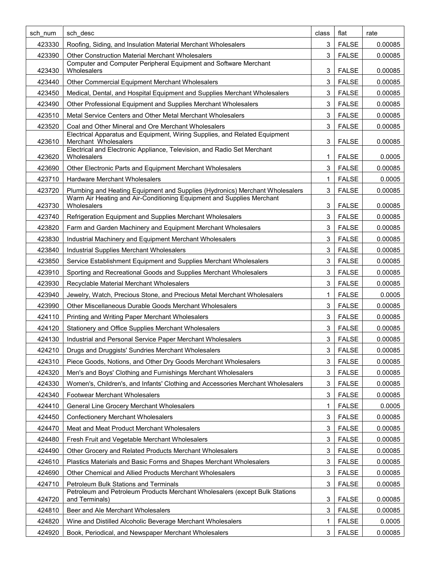| sch num | sch desc                                                                                           | class | flat         | rate    |
|---------|----------------------------------------------------------------------------------------------------|-------|--------------|---------|
| 423330  | Roofing, Siding, and Insulation Material Merchant Wholesalers                                      | 3     | <b>FALSE</b> | 0.00085 |
| 423390  | <b>Other Construction Material Merchant Wholesalers</b>                                            | 3     | <b>FALSE</b> | 0.00085 |
| 423430  | Computer and Computer Peripheral Equipment and Software Merchant<br>Wholesalers                    | 3     | <b>FALSE</b> | 0.00085 |
| 423440  | Other Commercial Equipment Merchant Wholesalers                                                    | 3     | <b>FALSE</b> | 0.00085 |
| 423450  | Medical, Dental, and Hospital Equipment and Supplies Merchant Wholesalers                          | 3     | <b>FALSE</b> | 0.00085 |
| 423490  | Other Professional Equipment and Supplies Merchant Wholesalers                                     | 3     | <b>FALSE</b> | 0.00085 |
| 423510  | Metal Service Centers and Other Metal Merchant Wholesalers                                         | 3     | <b>FALSE</b> | 0.00085 |
| 423520  | Coal and Other Mineral and Ore Merchant Wholesalers                                                | 3     | <b>FALSE</b> | 0.00085 |
| 423610  | Electrical Apparatus and Equipment, Wiring Supplies, and Related Equipment<br>Merchant Wholesalers | 3     | <b>FALSE</b> | 0.00085 |
| 423620  | Electrical and Electronic Appliance, Television, and Radio Set Merchant<br>Wholesalers             | 1     | <b>FALSE</b> | 0.0005  |
| 423690  | Other Electronic Parts and Equipment Merchant Wholesalers                                          | 3     | <b>FALSE</b> | 0.00085 |
| 423710  | <b>Hardware Merchant Wholesalers</b>                                                               | 1     | <b>FALSE</b> | 0.0005  |
| 423720  | Plumbing and Heating Equipment and Supplies (Hydronics) Merchant Wholesalers                       | 3     | <b>FALSE</b> | 0.00085 |
| 423730  | Warm Air Heating and Air-Conditioning Equipment and Supplies Merchant<br>Wholesalers               | 3     | <b>FALSE</b> | 0.00085 |
| 423740  | Refrigeration Equipment and Supplies Merchant Wholesalers                                          | 3     | <b>FALSE</b> | 0.00085 |
| 423820  | Farm and Garden Machinery and Equipment Merchant Wholesalers                                       | 3     | <b>FALSE</b> | 0.00085 |
| 423830  | Industrial Machinery and Equipment Merchant Wholesalers                                            | 3     | <b>FALSE</b> | 0.00085 |
| 423840  | <b>Industrial Supplies Merchant Wholesalers</b>                                                    | 3     | <b>FALSE</b> | 0.00085 |
| 423850  | Service Establishment Equipment and Supplies Merchant Wholesalers                                  | 3     | <b>FALSE</b> | 0.00085 |
| 423910  | Sporting and Recreational Goods and Supplies Merchant Wholesalers                                  | 3     | <b>FALSE</b> | 0.00085 |
| 423930  | Recyclable Material Merchant Wholesalers                                                           | 3     | <b>FALSE</b> | 0.00085 |
| 423940  | Jewelry, Watch, Precious Stone, and Precious Metal Merchant Wholesalers                            | 1     | <b>FALSE</b> | 0.0005  |
| 423990  | Other Miscellaneous Durable Goods Merchant Wholesalers                                             | 3     | <b>FALSE</b> | 0.00085 |
| 424110  | Printing and Writing Paper Merchant Wholesalers                                                    | 3     | <b>FALSE</b> | 0.00085 |
| 424120  | Stationery and Office Supplies Merchant Wholesalers                                                | 3     | <b>FALSE</b> | 0.00085 |
| 424130  | Industrial and Personal Service Paper Merchant Wholesalers                                         | 3     | <b>FALSE</b> | 0.00085 |
| 424210  | Drugs and Druggists' Sundries Merchant Wholesalers                                                 | 3     | <b>FALSE</b> | 0.00085 |
| 424310  | Piece Goods, Notions, and Other Dry Goods Merchant Wholesalers                                     | 3     | <b>FALSE</b> | 0.00085 |
| 424320  | Men's and Boys' Clothing and Furnishings Merchant Wholesalers                                      | 3     | <b>FALSE</b> | 0.00085 |
| 424330  | Women's, Children's, and Infants' Clothing and Accessories Merchant Wholesalers                    | 3     | <b>FALSE</b> | 0.00085 |
| 424340  | <b>Footwear Merchant Wholesalers</b>                                                               | 3     | <b>FALSE</b> | 0.00085 |
| 424410  | General Line Grocery Merchant Wholesalers                                                          | 1     | <b>FALSE</b> | 0.0005  |
| 424450  | <b>Confectionery Merchant Wholesalers</b>                                                          | 3     | <b>FALSE</b> | 0.00085 |
| 424470  | Meat and Meat Product Merchant Wholesalers                                                         | 3     | <b>FALSE</b> | 0.00085 |
| 424480  | Fresh Fruit and Vegetable Merchant Wholesalers                                                     | 3     | <b>FALSE</b> | 0.00085 |
| 424490  | Other Grocery and Related Products Merchant Wholesalers                                            | 3     | <b>FALSE</b> | 0.00085 |
| 424610  | Plastics Materials and Basic Forms and Shapes Merchant Wholesalers                                 | 3     | <b>FALSE</b> | 0.00085 |
| 424690  | Other Chemical and Allied Products Merchant Wholesalers                                            | 3     | <b>FALSE</b> | 0.00085 |
| 424710  | <b>Petroleum Bulk Stations and Terminals</b>                                                       | 3     | <b>FALSE</b> | 0.00085 |
| 424720  | Petroleum and Petroleum Products Merchant Wholesalers (except Bulk Stations<br>and Terminals)      | 3     | <b>FALSE</b> | 0.00085 |
| 424810  | Beer and Ale Merchant Wholesalers                                                                  | 3     | <b>FALSE</b> | 0.00085 |
| 424820  | Wine and Distilled Alcoholic Beverage Merchant Wholesalers                                         | 1     | <b>FALSE</b> | 0.0005  |
| 424920  | Book, Periodical, and Newspaper Merchant Wholesalers                                               | 3     | <b>FALSE</b> | 0.00085 |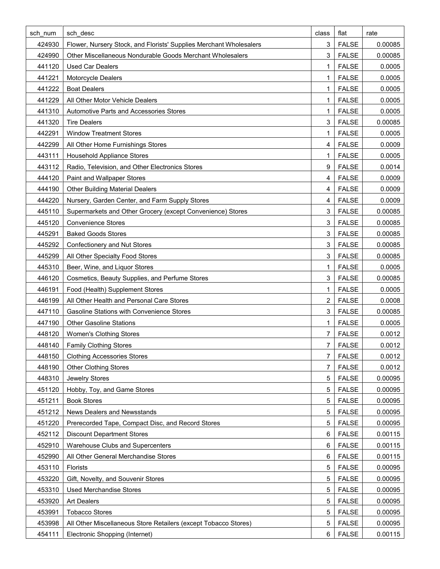| sch num | sch desc                                                           | class          | flat         | rate    |
|---------|--------------------------------------------------------------------|----------------|--------------|---------|
| 424930  | Flower, Nursery Stock, and Florists' Supplies Merchant Wholesalers | 3              | <b>FALSE</b> | 0.00085 |
| 424990  | Other Miscellaneous Nondurable Goods Merchant Wholesalers          | 3              | <b>FALSE</b> | 0.00085 |
| 441120  | <b>Used Car Dealers</b>                                            | 1              | <b>FALSE</b> | 0.0005  |
| 441221  | Motorcycle Dealers                                                 | 1              | <b>FALSE</b> | 0.0005  |
| 441222  | <b>Boat Dealers</b>                                                | 1              | <b>FALSE</b> | 0.0005  |
| 441229  | All Other Motor Vehicle Dealers                                    | 1              | <b>FALSE</b> | 0.0005  |
| 441310  | Automotive Parts and Accessories Stores                            | 1              | <b>FALSE</b> | 0.0005  |
| 441320  | <b>Tire Dealers</b>                                                | 3              | <b>FALSE</b> | 0.00085 |
| 442291  | <b>Window Treatment Stores</b>                                     | 1              | <b>FALSE</b> | 0.0005  |
| 442299  | All Other Home Furnishings Stores                                  | 4              | <b>FALSE</b> | 0.0009  |
| 443111  | <b>Household Appliance Stores</b>                                  | 1              | <b>FALSE</b> | 0.0005  |
| 443112  | Radio, Television, and Other Electronics Stores                    | 9              | <b>FALSE</b> | 0.0014  |
| 444120  | Paint and Wallpaper Stores                                         | 4              | <b>FALSE</b> | 0.0009  |
| 444190  | <b>Other Building Material Dealers</b>                             | 4              | <b>FALSE</b> | 0.0009  |
| 444220  | Nursery, Garden Center, and Farm Supply Stores                     | 4              | <b>FALSE</b> | 0.0009  |
| 445110  | Supermarkets and Other Grocery (except Convenience) Stores         | 3              | <b>FALSE</b> | 0.00085 |
| 445120  | <b>Convenience Stores</b>                                          | 3              | <b>FALSE</b> | 0.00085 |
| 445291  | <b>Baked Goods Stores</b>                                          | 3              | <b>FALSE</b> | 0.00085 |
| 445292  | <b>Confectionery and Nut Stores</b>                                | 3              | <b>FALSE</b> | 0.00085 |
| 445299  | All Other Specialty Food Stores                                    | 3              | <b>FALSE</b> | 0.00085 |
| 445310  | Beer, Wine, and Liquor Stores                                      | 1              | <b>FALSE</b> | 0.0005  |
| 446120  | Cosmetics, Beauty Supplies, and Perfume Stores                     | 3              | <b>FALSE</b> | 0.00085 |
| 446191  | Food (Health) Supplement Stores                                    | 1              | <b>FALSE</b> | 0.0005  |
| 446199  | All Other Health and Personal Care Stores                          | 2              | <b>FALSE</b> | 0.0008  |
| 447110  | <b>Gasoline Stations with Convenience Stores</b>                   | 3              | <b>FALSE</b> | 0.00085 |
| 447190  | <b>Other Gasoline Stations</b>                                     | 1              | <b>FALSE</b> | 0.0005  |
| 448120  | <b>Women's Clothing Stores</b>                                     | 7              | <b>FALSE</b> | 0.0012  |
| 448140  | <b>Family Clothing Stores</b>                                      | $\overline{7}$ | <b>FALSE</b> | 0.0012  |
| 448150  | <b>Clothing Accessories Stores</b>                                 | 7              | <b>FALSE</b> | 0.0012  |
| 448190  | <b>Other Clothing Stores</b>                                       | 7              | <b>FALSE</b> | 0.0012  |
| 448310  | Jewelry Stores                                                     | 5              | <b>FALSE</b> | 0.00095 |
| 451120  | Hobby, Toy, and Game Stores                                        | 5              | <b>FALSE</b> | 0.00095 |
| 451211  | <b>Book Stores</b>                                                 | 5              | <b>FALSE</b> | 0.00095 |
| 451212  | News Dealers and Newsstands                                        | 5              | <b>FALSE</b> | 0.00095 |
| 451220  | Prerecorded Tape, Compact Disc, and Record Stores                  | 5              | <b>FALSE</b> | 0.00095 |
| 452112  | <b>Discount Department Stores</b>                                  | 6              | <b>FALSE</b> | 0.00115 |
| 452910  | Warehouse Clubs and Supercenters                                   | 6              | <b>FALSE</b> | 0.00115 |
| 452990  | All Other General Merchandise Stores                               | 6              | <b>FALSE</b> | 0.00115 |
| 453110  | Florists                                                           | 5              | <b>FALSE</b> | 0.00095 |
| 453220  | Gift, Novelty, and Souvenir Stores                                 | 5              | <b>FALSE</b> | 0.00095 |
| 453310  | <b>Used Merchandise Stores</b>                                     | 5              | <b>FALSE</b> | 0.00095 |
| 453920  | <b>Art Dealers</b>                                                 | 5              | <b>FALSE</b> | 0.00095 |
| 453991  | <b>Tobacco Stores</b>                                              | 5              | <b>FALSE</b> | 0.00095 |
| 453998  | All Other Miscellaneous Store Retailers (except Tobacco Stores)    | 5              | <b>FALSE</b> | 0.00095 |
| 454111  | Electronic Shopping (Internet)                                     | 6              | <b>FALSE</b> | 0.00115 |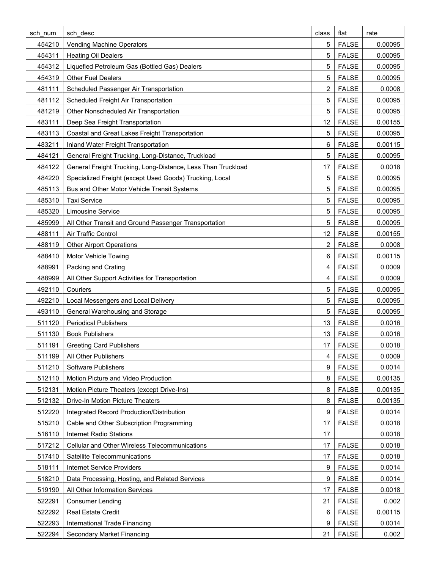| sch num | sch desc                                                     | class | flat         | rate    |
|---------|--------------------------------------------------------------|-------|--------------|---------|
| 454210  | Vending Machine Operators                                    | 5     | <b>FALSE</b> | 0.00095 |
| 454311  | <b>Heating Oil Dealers</b>                                   | 5     | <b>FALSE</b> | 0.00095 |
| 454312  | Liquefied Petroleum Gas (Bottled Gas) Dealers                | 5     | <b>FALSE</b> | 0.00095 |
| 454319  | <b>Other Fuel Dealers</b>                                    | 5     | <b>FALSE</b> | 0.00095 |
| 481111  | Scheduled Passenger Air Transportation                       | 2     | <b>FALSE</b> | 0.0008  |
| 481112  | Scheduled Freight Air Transportation                         | 5     | <b>FALSE</b> | 0.00095 |
| 481219  | Other Nonscheduled Air Transportation                        | 5     | <b>FALSE</b> | 0.00095 |
| 483111  | Deep Sea Freight Transportation                              | 12    | <b>FALSE</b> | 0.00155 |
| 483113  | Coastal and Great Lakes Freight Transportation               | 5     | <b>FALSE</b> | 0.00095 |
| 483211  | Inland Water Freight Transportation                          | 6     | <b>FALSE</b> | 0.00115 |
| 484121  | General Freight Trucking, Long-Distance, Truckload           | 5     | <b>FALSE</b> | 0.00095 |
| 484122  | General Freight Trucking, Long-Distance, Less Than Truckload | 17    | <b>FALSE</b> | 0.0018  |
| 484220  | Specialized Freight (except Used Goods) Trucking, Local      | 5     | <b>FALSE</b> | 0.00095 |
| 485113  | Bus and Other Motor Vehicle Transit Systems                  | 5     | <b>FALSE</b> | 0.00095 |
| 485310  | <b>Taxi Service</b>                                          | 5     | <b>FALSE</b> | 0.00095 |
| 485320  | <b>Limousine Service</b>                                     | 5     | <b>FALSE</b> | 0.00095 |
| 485999  | All Other Transit and Ground Passenger Transportation        | 5     | <b>FALSE</b> | 0.00095 |
| 488111  | <b>Air Traffic Control</b>                                   | 12    | <b>FALSE</b> | 0.00155 |
| 488119  | <b>Other Airport Operations</b>                              | 2     | <b>FALSE</b> | 0.0008  |
| 488410  | Motor Vehicle Towing                                         | 6     | <b>FALSE</b> | 0.00115 |
| 488991  | Packing and Crating                                          | 4     | <b>FALSE</b> | 0.0009  |
| 488999  | All Other Support Activities for Transportation              | 4     | <b>FALSE</b> | 0.0009  |
| 492110  | Couriers                                                     | 5     | <b>FALSE</b> | 0.00095 |
| 492210  | Local Messengers and Local Delivery                          | 5     | <b>FALSE</b> | 0.00095 |
| 493110  | General Warehousing and Storage                              | 5     | <b>FALSE</b> | 0.00095 |
| 511120  | <b>Periodical Publishers</b>                                 | 13    | <b>FALSE</b> | 0.0016  |
| 511130  | <b>Book Publishers</b>                                       | 13    | <b>FALSE</b> | 0.0016  |
| 511191  | <b>Greeting Card Publishers</b>                              | 17    | <b>FALSE</b> | 0.0018  |
| 511199  | All Other Publishers                                         | 4     | <b>FALSE</b> | 0.0009  |
| 511210  | Software Publishers                                          | 9     | <b>FALSE</b> | 0.0014  |
| 512110  | Motion Picture and Video Production                          | 8     | <b>FALSE</b> | 0.00135 |
| 512131  | Motion Picture Theaters (except Drive-Ins)                   | 8     | <b>FALSE</b> | 0.00135 |
| 512132  | Drive-In Motion Picture Theaters                             | 8     | <b>FALSE</b> | 0.00135 |
| 512220  | Integrated Record Production/Distribution                    | 9     | <b>FALSE</b> | 0.0014  |
| 515210  | Cable and Other Subscription Programming                     | 17    | <b>FALSE</b> | 0.0018  |
| 516110  | Internet Radio Stations                                      | 17    |              | 0.0018  |
| 517212  | Cellular and Other Wireless Telecommunications               | 17    | <b>FALSE</b> | 0.0018  |
| 517410  | Satellite Telecommunications                                 | 17    | <b>FALSE</b> | 0.0018  |
| 518111  | <b>Internet Service Providers</b>                            | 9     | <b>FALSE</b> | 0.0014  |
| 518210  | Data Processing, Hosting, and Related Services               | 9     | <b>FALSE</b> | 0.0014  |
| 519190  | All Other Information Services                               | 17    | <b>FALSE</b> | 0.0018  |
| 522291  | <b>Consumer Lending</b>                                      | 21    | <b>FALSE</b> | 0.002   |
| 522292  | Real Estate Credit                                           | 6     | <b>FALSE</b> | 0.00115 |
| 522293  | International Trade Financing                                | 9     | <b>FALSE</b> | 0.0014  |
| 522294  | Secondary Market Financing                                   | 21    | <b>FALSE</b> | 0.002   |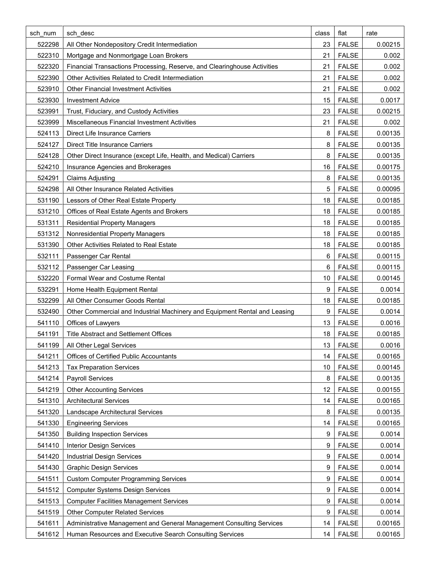| sch num | sch desc                                                                   | class | flat         | rate    |
|---------|----------------------------------------------------------------------------|-------|--------------|---------|
| 522298  | All Other Nondepository Credit Intermediation                              | 23    | <b>FALSE</b> | 0.00215 |
| 522310  | Mortgage and Nonmortgage Loan Brokers                                      | 21    | <b>FALSE</b> | 0.002   |
| 522320  | Financial Transactions Processing, Reserve, and Clearinghouse Activities   | 21    | <b>FALSE</b> | 0.002   |
| 522390  | Other Activities Related to Credit Intermediation                          | 21    | <b>FALSE</b> | 0.002   |
| 523910  | <b>Other Financial Investment Activities</b>                               | 21    | <b>FALSE</b> | 0.002   |
| 523930  | <b>Investment Advice</b>                                                   | 15    | <b>FALSE</b> | 0.0017  |
| 523991  | Trust, Fiduciary, and Custody Activities                                   | 23    | <b>FALSE</b> | 0.00215 |
| 523999  | Miscellaneous Financial Investment Activities                              | 21    | <b>FALSE</b> | 0.002   |
| 524113  | Direct Life Insurance Carriers                                             | 8     | <b>FALSE</b> | 0.00135 |
| 524127  | <b>Direct Title Insurance Carriers</b>                                     | 8     | <b>FALSE</b> | 0.00135 |
| 524128  | Other Direct Insurance (except Life, Health, and Medical) Carriers         | 8     | <b>FALSE</b> | 0.00135 |
| 524210  | Insurance Agencies and Brokerages                                          | 16    | <b>FALSE</b> | 0.00175 |
| 524291  | <b>Claims Adjusting</b>                                                    | 8     | <b>FALSE</b> | 0.00135 |
| 524298  | All Other Insurance Related Activities                                     | 5     | <b>FALSE</b> | 0.00095 |
| 531190  | Lessors of Other Real Estate Property                                      | 18    | <b>FALSE</b> | 0.00185 |
| 531210  | Offices of Real Estate Agents and Brokers                                  | 18    | <b>FALSE</b> | 0.00185 |
| 531311  | <b>Residential Property Managers</b>                                       | 18    | <b>FALSE</b> | 0.00185 |
| 531312  | Nonresidential Property Managers                                           | 18    | <b>FALSE</b> | 0.00185 |
| 531390  | Other Activities Related to Real Estate                                    | 18    | <b>FALSE</b> | 0.00185 |
| 532111  | Passenger Car Rental                                                       | 6     | <b>FALSE</b> | 0.00115 |
| 532112  | Passenger Car Leasing                                                      | 6     | <b>FALSE</b> | 0.00115 |
| 532220  | Formal Wear and Costume Rental                                             | 10    | <b>FALSE</b> | 0.00145 |
| 532291  | Home Health Equipment Rental                                               | 9     | <b>FALSE</b> | 0.0014  |
| 532299  | All Other Consumer Goods Rental                                            | 18    | <b>FALSE</b> | 0.00185 |
| 532490  | Other Commercial and Industrial Machinery and Equipment Rental and Leasing | 9     | <b>FALSE</b> | 0.0014  |
| 541110  | Offices of Lawyers                                                         | 13    | <b>FALSE</b> | 0.0016  |
| 541191  | <b>Title Abstract and Settlement Offices</b>                               | 18    | <b>FALSE</b> | 0.00185 |
| 541199  | All Other Legal Services                                                   | 13    | <b>FALSE</b> | 0.0016  |
| 541211  | Offices of Certified Public Accountants                                    | 14    | <b>FALSE</b> | 0.00165 |
| 541213  | <b>Tax Preparation Services</b>                                            | 10    | <b>FALSE</b> | 0.00145 |
| 541214  | Payroll Services                                                           | 8     | <b>FALSE</b> | 0.00135 |
| 541219  | <b>Other Accounting Services</b>                                           | 12    | <b>FALSE</b> | 0.00155 |
| 541310  | <b>Architectural Services</b>                                              | 14    | <b>FALSE</b> | 0.00165 |
| 541320  | Landscape Architectural Services                                           | 8     | <b>FALSE</b> | 0.00135 |
| 541330  | <b>Engineering Services</b>                                                | 14    | <b>FALSE</b> | 0.00165 |
| 541350  | <b>Building Inspection Services</b>                                        | 9     | <b>FALSE</b> | 0.0014  |
| 541410  | <b>Interior Design Services</b>                                            | 9     | <b>FALSE</b> | 0.0014  |
| 541420  | <b>Industrial Design Services</b>                                          | 9     | <b>FALSE</b> | 0.0014  |
| 541430  | <b>Graphic Design Services</b>                                             | 9     | <b>FALSE</b> | 0.0014  |
| 541511  | <b>Custom Computer Programming Services</b>                                | 9     | <b>FALSE</b> | 0.0014  |
| 541512  | <b>Computer Systems Design Services</b>                                    | 9     | <b>FALSE</b> | 0.0014  |
| 541513  | <b>Computer Facilities Management Services</b>                             | 9     | <b>FALSE</b> | 0.0014  |
| 541519  | <b>Other Computer Related Services</b>                                     | 9     | <b>FALSE</b> | 0.0014  |
| 541611  | Administrative Management and General Management Consulting Services       | 14    | <b>FALSE</b> | 0.00165 |
| 541612  | Human Resources and Executive Search Consulting Services                   | 14    | <b>FALSE</b> | 0.00165 |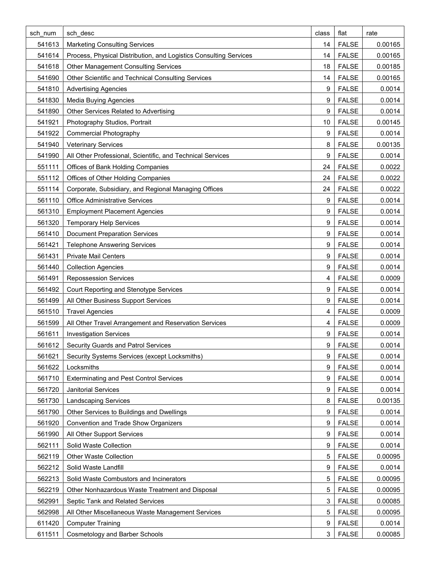| sch num | sch desc                                                          | class | flat         | rate    |
|---------|-------------------------------------------------------------------|-------|--------------|---------|
| 541613  | <b>Marketing Consulting Services</b>                              | 14    | <b>FALSE</b> | 0.00165 |
| 541614  | Process, Physical Distribution, and Logistics Consulting Services | 14    | <b>FALSE</b> | 0.00165 |
| 541618  | <b>Other Management Consulting Services</b>                       | 18    | <b>FALSE</b> | 0.00185 |
| 541690  | Other Scientific and Technical Consulting Services                | 14    | <b>FALSE</b> | 0.00165 |
| 541810  | <b>Advertising Agencies</b>                                       | 9     | <b>FALSE</b> | 0.0014  |
| 541830  | <b>Media Buying Agencies</b>                                      | 9     | <b>FALSE</b> | 0.0014  |
| 541890  | Other Services Related to Advertising                             | 9     | <b>FALSE</b> | 0.0014  |
| 541921  | Photography Studios, Portrait                                     | 10    | <b>FALSE</b> | 0.00145 |
| 541922  | <b>Commercial Photography</b>                                     | 9     | <b>FALSE</b> | 0.0014  |
| 541940  | <b>Veterinary Services</b>                                        | 8     | <b>FALSE</b> | 0.00135 |
| 541990  | All Other Professional, Scientific, and Technical Services        | 9     | <b>FALSE</b> | 0.0014  |
| 551111  | Offices of Bank Holding Companies                                 | 24    | <b>FALSE</b> | 0.0022  |
| 551112  | Offices of Other Holding Companies                                | 24    | <b>FALSE</b> | 0.0022  |
| 551114  | Corporate, Subsidiary, and Regional Managing Offices              | 24    | <b>FALSE</b> | 0.0022  |
| 561110  | <b>Office Administrative Services</b>                             | 9     | <b>FALSE</b> | 0.0014  |
| 561310  | <b>Employment Placement Agencies</b>                              | 9     | <b>FALSE</b> | 0.0014  |
| 561320  | <b>Temporary Help Services</b>                                    | 9     | <b>FALSE</b> | 0.0014  |
| 561410  | <b>Document Preparation Services</b>                              | 9     | <b>FALSE</b> | 0.0014  |
| 561421  | <b>Telephone Answering Services</b>                               | 9     | <b>FALSE</b> | 0.0014  |
| 561431  | <b>Private Mail Centers</b>                                       | 9     | <b>FALSE</b> | 0.0014  |
| 561440  | <b>Collection Agencies</b>                                        | 9     | <b>FALSE</b> | 0.0014  |
| 561491  | <b>Repossession Services</b>                                      | 4     | <b>FALSE</b> | 0.0009  |
| 561492  | Court Reporting and Stenotype Services                            | 9     | <b>FALSE</b> | 0.0014  |
| 561499  | All Other Business Support Services                               | 9     | <b>FALSE</b> | 0.0014  |
| 561510  | <b>Travel Agencies</b>                                            | 4     | <b>FALSE</b> | 0.0009  |
| 561599  | All Other Travel Arrangement and Reservation Services             | 4     | <b>FALSE</b> | 0.0009  |
| 561611  | <b>Investigation Services</b>                                     | 9     | <b>FALSE</b> | 0.0014  |
| 561612  | Security Guards and Patrol Services                               | 9     | <b>FALSE</b> | 0.0014  |
| 561621  | Security Systems Services (except Locksmiths)                     | 9     | <b>FALSE</b> | 0.0014  |
| 561622  | Locksmiths                                                        | 9     | <b>FALSE</b> | 0.0014  |
| 561710  | <b>Exterminating and Pest Control Services</b>                    | 9     | <b>FALSE</b> | 0.0014  |
| 561720  | <b>Janitorial Services</b>                                        | 9     | <b>FALSE</b> | 0.0014  |
| 561730  | <b>Landscaping Services</b>                                       | 8     | <b>FALSE</b> | 0.00135 |
| 561790  | Other Services to Buildings and Dwellings                         | 9     | <b>FALSE</b> | 0.0014  |
| 561920  | Convention and Trade Show Organizers                              | 9     | <b>FALSE</b> | 0.0014  |
| 561990  | All Other Support Services                                        | 9     | <b>FALSE</b> | 0.0014  |
| 562111  | Solid Waste Collection                                            | 9     | <b>FALSE</b> | 0.0014  |
| 562119  | <b>Other Waste Collection</b>                                     | 5     | <b>FALSE</b> | 0.00095 |
| 562212  | Solid Waste Landfill                                              | 9     | <b>FALSE</b> | 0.0014  |
| 562213  | Solid Waste Combustors and Incinerators                           | 5     | <b>FALSE</b> | 0.00095 |
| 562219  | Other Nonhazardous Waste Treatment and Disposal                   | 5     | <b>FALSE</b> | 0.00095 |
| 562991  | Septic Tank and Related Services                                  | 3     | <b>FALSE</b> | 0.00085 |
| 562998  | All Other Miscellaneous Waste Management Services                 | 5     | <b>FALSE</b> | 0.00095 |
| 611420  | <b>Computer Training</b>                                          | 9     | <b>FALSE</b> | 0.0014  |
| 611511  | <b>Cosmetology and Barber Schools</b>                             | 3     | <b>FALSE</b> | 0.00085 |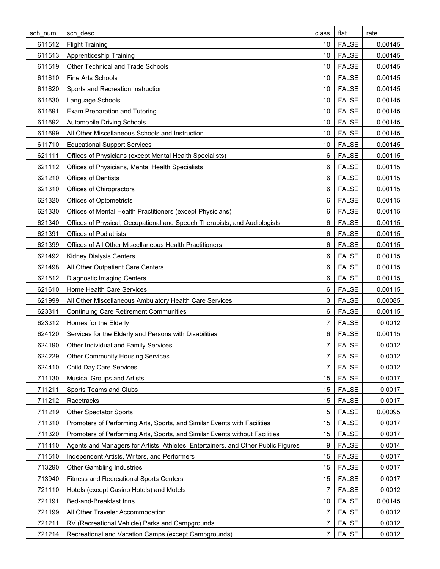| sch num | sch desc                                                                          | class | flat         | rate    |
|---------|-----------------------------------------------------------------------------------|-------|--------------|---------|
| 611512  | <b>Flight Training</b>                                                            | 10    | <b>FALSE</b> | 0.00145 |
| 611513  | <b>Apprenticeship Training</b>                                                    | 10    | <b>FALSE</b> | 0.00145 |
| 611519  | Other Technical and Trade Schools                                                 | 10    | <b>FALSE</b> | 0.00145 |
| 611610  | Fine Arts Schools                                                                 | 10    | <b>FALSE</b> | 0.00145 |
| 611620  | Sports and Recreation Instruction                                                 | 10    | <b>FALSE</b> | 0.00145 |
| 611630  | Language Schools                                                                  | 10    | <b>FALSE</b> | 0.00145 |
| 611691  | <b>Exam Preparation and Tutoring</b>                                              | 10    | <b>FALSE</b> | 0.00145 |
| 611692  | <b>Automobile Driving Schools</b>                                                 | 10    | <b>FALSE</b> | 0.00145 |
| 611699  | All Other Miscellaneous Schools and Instruction                                   | 10    | <b>FALSE</b> | 0.00145 |
| 611710  | <b>Educational Support Services</b>                                               | 10    | <b>FALSE</b> | 0.00145 |
| 621111  | Offices of Physicians (except Mental Health Specialists)                          | 6     | <b>FALSE</b> | 0.00115 |
| 621112  | Offices of Physicians, Mental Health Specialists                                  | 6     | <b>FALSE</b> | 0.00115 |
| 621210  | <b>Offices of Dentists</b>                                                        | 6     | <b>FALSE</b> | 0.00115 |
| 621310  | Offices of Chiropractors                                                          | 6     | <b>FALSE</b> | 0.00115 |
| 621320  | Offices of Optometrists                                                           | 6     | <b>FALSE</b> | 0.00115 |
| 621330  | Offices of Mental Health Practitioners (except Physicians)                        | 6     | <b>FALSE</b> | 0.00115 |
| 621340  | Offices of Physical, Occupational and Speech Therapists, and Audiologists         | 6     | <b>FALSE</b> | 0.00115 |
| 621391  | <b>Offices of Podiatrists</b>                                                     | 6     | <b>FALSE</b> | 0.00115 |
| 621399  | Offices of All Other Miscellaneous Health Practitioners                           | 6     | <b>FALSE</b> | 0.00115 |
| 621492  | Kidney Dialysis Centers                                                           | 6     | <b>FALSE</b> | 0.00115 |
| 621498  | All Other Outpatient Care Centers                                                 | 6     | <b>FALSE</b> | 0.00115 |
| 621512  | <b>Diagnostic Imaging Centers</b>                                                 | 6     | <b>FALSE</b> | 0.00115 |
| 621610  | Home Health Care Services                                                         | 6     | <b>FALSE</b> | 0.00115 |
| 621999  | All Other Miscellaneous Ambulatory Health Care Services                           | 3     | <b>FALSE</b> | 0.00085 |
| 623311  | <b>Continuing Care Retirement Communities</b>                                     | 6     | <b>FALSE</b> | 0.00115 |
| 623312  | Homes for the Elderly                                                             | 7     | <b>FALSE</b> | 0.0012  |
| 624120  | Services for the Elderly and Persons with Disabilities                            | 6     | <b>FALSE</b> | 0.00115 |
| 624190  | Other Individual and Family Services                                              | 7     | <b>FALSE</b> | 0.0012  |
| 624229  | <b>Other Community Housing Services</b>                                           | 7     | <b>FALSE</b> | 0.0012  |
| 624410  | <b>Child Day Care Services</b>                                                    | 7     | <b>FALSE</b> | 0.0012  |
| 711130  | <b>Musical Groups and Artists</b>                                                 | 15    | <b>FALSE</b> | 0.0017  |
| 711211  | Sports Teams and Clubs                                                            | 15    | <b>FALSE</b> | 0.0017  |
| 711212  | Racetracks                                                                        | 15    | <b>FALSE</b> | 0.0017  |
| 711219  | <b>Other Spectator Sports</b>                                                     | 5     | <b>FALSE</b> | 0.00095 |
| 711310  | Promoters of Performing Arts, Sports, and Similar Events with Facilities          | 15    | <b>FALSE</b> | 0.0017  |
| 711320  | Promoters of Performing Arts, Sports, and Similar Events without Facilities       | 15    | <b>FALSE</b> | 0.0017  |
| 711410  | Agents and Managers for Artists, Athletes, Entertainers, and Other Public Figures | 9     | <b>FALSE</b> | 0.0014  |
| 711510  | Independent Artists, Writers, and Performers                                      | 15    | <b>FALSE</b> | 0.0017  |
| 713290  | <b>Other Gambling Industries</b>                                                  | 15    | <b>FALSE</b> | 0.0017  |
| 713940  | <b>Fitness and Recreational Sports Centers</b>                                    | 15    | <b>FALSE</b> | 0.0017  |
| 721110  | Hotels (except Casino Hotels) and Motels                                          | 7     | <b>FALSE</b> | 0.0012  |
| 721191  | Bed-and-Breakfast Inns                                                            | 10    | <b>FALSE</b> | 0.00145 |
| 721199  | All Other Traveler Accommodation                                                  | 7     | <b>FALSE</b> | 0.0012  |
| 721211  | RV (Recreational Vehicle) Parks and Campgrounds                                   | 7     | <b>FALSE</b> | 0.0012  |
| 721214  | Recreational and Vacation Camps (except Campgrounds)                              | 7     | <b>FALSE</b> | 0.0012  |